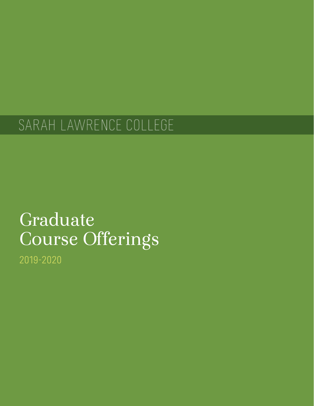# SARAH LAWRENCE COLLEGE

# Graduate Course Offerings

2019-2020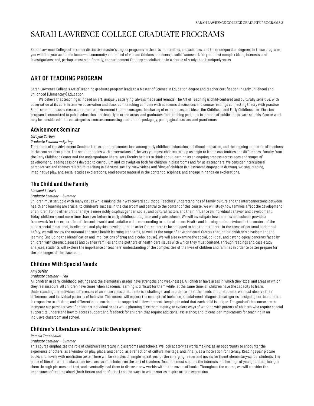# <span id="page-2-0"></span>SARAH LAWRENCE COLLEGE GRADUATE PROGRAMS

Sarah Lawrence College offers nine distinctive master's degree programs in the arts, humanities, and sciences, and three unique dual degrees. In these programs, you will find your academic home—a community comprised of vibrant thinkers and doers; a solid framework for your most complex ideas, interests, and investigations; and, perhaps most significantly, encouragement for deep specialization in a course of study that is uniquely yours.

# <span id="page-2-1"></span>**ART OF TEACHING PROGRAM**

Sarah Lawrence College's Art of Teaching graduate program leads to a Master of Science in Education degree and teacher certification in Early Childhood and Childhood (Elementary) Education.

We believe that teaching is indeed an art, uniquely satisfying, always made and remade. The Art of Teaching is child-centered and culturally sensitive, with observation at its core. Extensive observation and classroom teaching combine with academic discussions and course readings connecting theory with practice. Small seminar classes create an intimate environment that encourages the sharing of experiences and ideas. Our Childhood and Early Childhood certification program is committed to public education, particularly in urban areas, and graduates find teaching positions in a range of public and private schools. Course work may be considered in three categories: courses connecting content and pedagogy; pedagogical courses; and practicums.

# **Advisement Seminar**

## *Lorayne Carbon*

## *Graduate Seminar—Spring*

The theme of the Advisement Seminar is to explore the connections among early childhood education, childhood education, and the ongoing education of teachers in the content disciplines. The seminar begins with observations of the very youngest children to help us begin to frame continuities and differences. Faculty from the Early Childhood Center and the undergraduate liberal-arts faculty help us to think about learning as an ongoing process across ages and stages of development, leading sessions devoted to curriculum and its evolution both for children in classrooms and for us as teachers. We consider intercultural perspectives and themes related to teaching in a diverse society; view videos and films of children in classrooms engaged in drawing, writing, reading, imaginative play, and social-studies explorations; read source material in the content disciplines; and engage in hands-on explorations.

# **The Child and the Family**

#### *Linwood J. Lewis*

#### *Graduate Seminar—Summer*

Children must struggle with many issues while making their way toward adulthood. Teachers' understandings of family culture and the interconnections between health and learning are crucial to children's success in the classroom and central to the content of this course. We will study how families affect the development of children, for no other unit of analysis more richly displays gender, social, and cultural factors and their influence on individual behavior and development. Today, children spend more time than ever before in early childhood programs and grade schools. We will investigate how families and schools provide a framework for the exploration of the social world and socialize children according to cultural norms. Health and learning are intertwined in the context of the child's social, emotional, intellectual, and physical development. In order for teachers to be equipped to help their students in the areas of personal health and safety, we will review the national and state health learning standards, as well as the range of environmental factors that inhibit children's development and learning (including the identification and implications of drug and alcohol abuse). We will also examine the social, political, and psychological concerns faced by children with chronic diseases and by their families and the plethora of health-care issues with which they must contend. Through readings and case-study analyses, students will explore the importance of teachers' understanding of the complexities of the lives of children and families in order to better prepare for the challenges of the classroom.

# **Children With Special Needs**

#### *Amy Soffer*

#### *Graduate Seminar—Fall*

All children in early childhood settings and the elementary grades have strengths and weaknesses. All children have areas in which they excel and areas in which they feel insecure. All children have times when academic learning is difficult for them while, at the same time, all children have the capacity to learn. Understanding the individual differences of an entire class of students is a challenge; and in order to meet the needs of our students, we must observe their differences and individual patterns of behavior. This course will explore the concepts of inclusion; special-needs diagnostic categories; designing curriculum that is responsive to children; and differentiating curriculum to support skill development, keeping in mind that each child is unique. The goals of the course are to integrate our perspectives of children's individual needs while planning classroom inquiry; to explore ways of working with parents of children who require special support; to understand how to access support and feedback for children that require additional assistance; and to consider implications for teaching in an inclusive classroom and school.

# **Children's Literature and Artistic Development**

## *Pamela Tanenbaum*

## *Graduate Seminar—Summer*

This course emphasizes the role of children's literature in classrooms and schools. We look at story as world making; as an opportunity to encounter the experience of others; as a window on play, place, and period; as a reflection of cultural heritage; and, finally, as a motivation for literacy. Readings pair picture books and novels with nonfiction texts. There will be samples of simple narratives for the emerging reader and novels for fluent elementary-school students. The place of literature in the classroom involves careful choices on the part of teachers. Teachers must support the interests and heritage of young readers, intrigue them through pictures and text, and eventually lead them to discover new worlds within the covers of books. Throughout the course, we will consider the importance of reading aloud (both fiction and nonfiction) and the ways in which stories inspire artistic expression.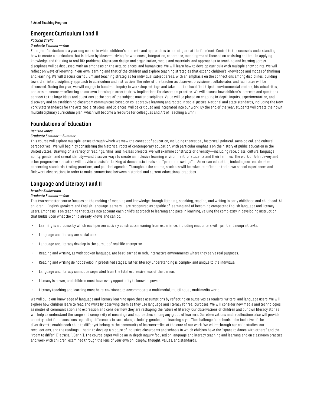# **Emergent Curriculum I and II**

## *Patricia Virella*

#### *Graduate Seminar—Year*

Emergent Curriculum is a yearlong course in which children's interests and approaches to learning are at the forefront. Central to the course is understanding how to create a curriculum that is driven by ideas—striving for wholeness, integration, coherence, meaning—and focused on assisting children in applying knowledge and thinking to real-life problems. Classroom design and organization, media and materials, and approaches to teaching and learning across disciplines will be discussed, with an emphasis on the arts, sciences, and humanities. We will learn how to develop curricula with multiple entry points. We will reflect on ways of knowing in our own learning and that of the children and explore teaching strategies that expand children's knowledge and modes of thinking and learning. We will discuss curriculum and teaching strategies for individual subject areas, with an emphasis on the connections among disciplines, building toward an interdisciplinary approach to curriculum and instruction. The roles of the teacher as observer, provisioner, collaborator, and facilitator will be discussed. During the year, we will engage in hands-on inquiry in workshop settings and take multiple local field trips to environmental centers, historical sites, and arts museums—reflecting on our own learning in order to draw implications for classroom practice. We will discuss how children's interests and questions connect to the large ideas and questions at the core of the subject-matter disciplines. Value will be placed on enabling in-depth inquiry, experimentation, and discovery and on establishing classroom communities based on collaborative learning and rooted in social justice. National and state standards, including the New York State Standards for the Arts, Social Studies, and Sciences, will be critiqued and integrated into our work. By the end of the year, students will create their own multidisciplinary curriculum plan, which will become a resource for colleagues and Art of Teaching alumni.

# **Foundations of Education**

## *Denisha Jones*

## *Graduate Seminar—Summer*

This course will explore multiple lenses through which we view the concept of education, including theoretical, historical, political, sociological, and cultural perspectives. We will begin by considering the historical roots of contemporary education, with particular emphasis on the history of public education in the United States. Drawing on a variety of readings, films, and in-class projects, we will examine constructs of diversity—including race, class, culture, language, ability, gender, and sexual identity—and discover ways to create an inclusive learning environment for students and their families. The work of John Dewey and other progressive educators will provide a basis for looking at democratic ideals and "pendulum swings" in American education, including current debates concerning standards, testing practices, and political agendas. Throughout the course, students will be asked to reflect on their own school experiences and fieldwork observations in order to make connections between historical and current educational practices.

# **Language and Literacy I and II**

#### *Jerusha Beckerman*

#### *Graduate Seminar—Year*

This two-semester course focuses on the making of meaning and knowledge through listening, speaking, reading, and writing in early childhood and childhood. All children—English speakers and English-language learners—are recognized as capable of learning and of becoming competent English language and literacy users. Emphasis is on teaching that takes into account each child's approach to learning and pace in learning, valuing the complexity in developing instruction that builds upon what the child already knows and can do.

- Learning is a process by which each person actively constructs meaning from experience, including encounters with print and nonprint texts.
- Language and literacy are social acts.
- Language and literacy develop in the pursuit of real-life enterprise.
- Reading and writing, as with spoken language, are best learned in rich, interactive environments where they serve real purposes.
- Reading and writing do not develop in predefined stages; rather, literacy understanding is complex and unique to the individual.
- Language and literacy cannot be separated from the total expressiveness of the person.
- Literacy is power, and children must have every opportunity to know its power.
- Literacy teaching and learning must be re-envisioned to accommodate a multimodal, multilingual, multimedia world.

We will build our knowledge of language and literacy learning upon these assumptions by reflecting on ourselves as readers, writers, and language users. We will explore how children learn to read and write by observing them as they use language and literacy for real purposes. We will consider new media and technologies as modes of communication and expression and consider how they are reshaping the future of literacy. Our observations of children and our own literacy stories will help us understand the range and complexity of meanings and approaches among any group of learners. Our observations and recollections also will provide an entry point for discussions regarding differences in race, class, ethnicity, gender, and learning style. The challenge for schools to be inclusive of the diversity—to enable each child to differ yet belong to the community of learners—lies at the core of our work. We will—through our child studies, our recollections, and the readings—begin to develop a picture of inclusive classrooms and schools in which children have the "space to dance with others" and the "room to differ" (Patricia F. Carini). The course paper will be an in-depth inquiry focused on language and literacy teaching and learning and on classroom practice and work with children, examined through the lens of your own philosophy, thought, values, and standards.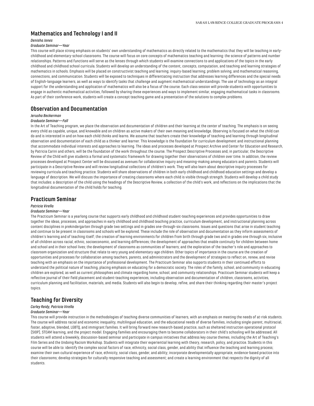# **Mathematics and Technology I and II**

## *Denisha Jones*

#### *Graduate Seminar—Year*

This course will place strong emphasis on students' own understanding of mathematics as directly related to the mathematics that they will be teaching in earlychildhood and elementary-school classrooms. The course will focus on core concepts of mathematics teaching and learning: the science of patterns and number relationships. Patterns and functions will serve as the lenses through which students will examine connections to and applications of the topics in the early childhood and childhood school curricula. Students will develop an understanding of the content, concepts, computation, and teaching and learning strategies of mathematics in schools. Emphasis will be placed on constructivist teaching and learning; inquiry-based learning; problem solving; and mathematical reasoning, connections, and communication. Students will be exposed to techniques in differentiating instruction that addresses learning differences and the special needs of English-language learners, as well as ways to identify tasks that challenge and augment mathematical understandings. The use of technology as an integral support for the understanding and application of mathematics will also be a focus of the course. Each class session will provide students with opportunities to engage in authentic mathematical activities, followed by sharing these experiences and ways to implement similar, engaging mathematical tasks in classrooms. As part of their conference work, students will create a concept teaching game and a presentation of the solutions to complex problems.

## **Observation and Documentation**

## *Jerusha Beckerman*

#### *Graduate Seminar—Fall*

In the Art of Teaching program, we place the observation and documentation of children and their learning at the center of teaching. The emphasis is on seeing every child as capable, unique, and knowable and on children as active makers of their own meaning and knowledge. Observing is focused on what the child can do and is interested in and on how each child thinks and learns. We assume that teachers create their knowledge of teaching and learning through longitudinal observation and documentation of each child as a thinker and learner. This knowledge is the foundation for curriculum development and instructional planning that accommodate individual interests and approaches to learning. The ideas and processes developed at Prospect Archive and Center for Education and Research, by Patricia Carini and others, will be the foundation of the work throughout the course. The Prospect Descriptive Processes and, in particular, the Descriptive Review of the Child will give students a formal and systematic framework for drawing together their observations of children over time. In addition, the review processes developed at Prospect Center will be discussed as avenues for collaborative inquiry and meaning-making among educators and parents. Students will participate in a Descriptive Review and will review longitudinal collections of children's work. They will also learn about descriptive inquiry processes for reviewing curricula and teaching practice. Students will share observations of children in both early childhood and childhood education settings and develop a language of description. We will discuss the importance of creating classrooms where each child is visible through strength. Students will develop a child study that includes: a description of the child using the headings of the Descriptive Review, a collection of the child's work, and reflections on the implications that the longitudinal documentation of the child holds for teaching.

## **Practicum Seminar**

#### *Patricia Virella*

#### *Graduate Seminar—Year*

The Practicum Seminar is a yearlong course that supports early childhood and childhood student-teaching experiences and provides opportunities to draw together the ideas, processes, and approaches in early childhood and childhood teaching practice, curriculum development, and instructional planning across content disciplines in prekindergarten through grade two settings and in grades one-through-six classrooms. Issues and questions that arise in student teaching and continue to be present in classrooms and schools will be explored. These include the role of observation and documentation as they inform assessments of children's learning and of teaching itself; the creation of learning environments for children from birth through grade two and in grades one through six, inclusive of all children across racial, ethnic, socioeconomic, and learning differences; the development of approaches that enable continuity for children between home and school and in their school lives; the development of classrooms as communities of learners; and the exploration of the teacher's role and approaches to classroom organization and structure that relate to very young and elementary-age children. Other topics of importance in the course are the creation of opportunities and processes for collaboration among teachers, parents, and administrators and the development of strategies to reflect on, renew, and revise teaching with an emphasis on the importance of professional development. The Practicum Seminar also supports students in their continued efforts to understand the political nature of teaching, placing emphasis on educating for a democratic society. The roles of the family, school, and community in educating children are explored, as well as current philosophies and climate regarding home, school, and community relationships. Practicum Seminar students will keep a reflective journal of their field placement and student-teaching experiences, including observation and documentation of children, classrooms, activities, curriculum planning and facilitation, materials, and media. Students will also begin to develop, refine, and share their thinking regarding their master's project topics.

# **Teaching for Diversity**

## *Carley Reidy, Patricia Virella*

#### *Graduate Seminar—Year*

This course will provide instruction in the methodologies of teaching diverse communities of learners, with an emphasis on meeting the needs of at-risk students. The course will address racial and economic inequality, multilingual education, and the educational needs of diverse families, including single-parent, multiracial, foster, adoptive, blended, LGBTQ, and immigrant families. It will bring forward new research-based practice, such as sheltered instruction operational protocol (SIOP), STEAM learning, and the project model. Engaging families and encouraging them to become collaborators in their child's schooling will be addressed. All students will attend a biweekly, discussion-based seminar and participate in campus initiatives that address key course themes, including the Art of Teaching's Film Series and the Undoing Racism Workshop. Students will integrate their experiential learning with theory, research, policy, and practice. Students in this course will be able to: identify the complex social factors of race, ethnicity, social class, gender, and ability that influence the teaching and learning process; examine their own cultural experience of race, ethnicity, social class, gender, and ability; incorporate developmentally appropriate, evidence-based practice into their classrooms; develop strategies for culturally responsive teaching and assessment; and create a learning environment that respects the dignity of all students.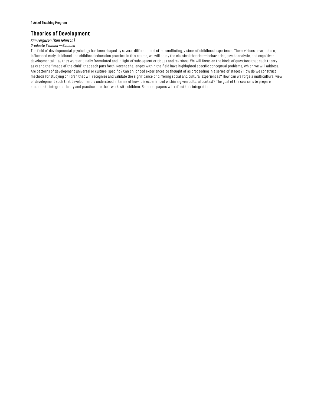# **Theories of Development**

# *Kim Ferguson (Kim Johnson)*

# *Graduate Seminar—Summer*

The field of developmental psychology has been shaped by several different, and often conflicting, visions of childhood experience. These visions have, in turn, influenced early childhood and childhood education practice. In this course, we will study the classical theories—behaviorist, psychoanalytic, and cognitivedevelopmental—as they were originally formulated and in light of subsequent critiques and revisions. We will focus on the kinds of questions that each theory asks and the "image of the child" that each puts forth. Recent challenges within the field have highlighted specific conceptual problems, which we will address. Are patterns of development universal or culture- specific? Can childhood experiences be thought of as proceeding in a series of stages? How do we construct methods for studying children that will recognize and validate the significance of differing social and cultural experiences? How can we forge a multicultural view of development such that development is understood in terms of how it is experienced within a given cultural context? The goal of the course is to prepare students to integrate theory and practice into their work with children. Required papers will reflect this integration.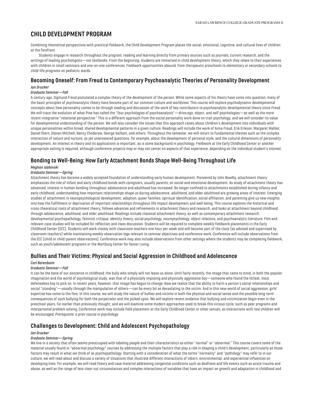# <span id="page-6-0"></span>**CHILD DEVELOPMENT PROGRAM**

Combining theoretical perspectives with practical fieldwork, the Child Development Program places the social, emotional, cognitive, and cultural lives of children at the forefront.

Students engage in research throughout the program, reading and learning directly from primary sources such as journals, current research, and the writings of leading psychologists—not textbooks. From the beginning, students are immersed in child development theory, which they relate to their experiences with children in small seminars and one-on-one conferences. Fieldwork opportunities abound, from therapeutic preschools to elementary or secondary schools to child-life programs on pediatric wards.

# **Becoming Oneself: From Freud to Contemporary Psychoanalytic Theories of Personality Development**

## *Jan Drucker*

## *Graduate Seminar—Fall*

A century ago, Sigmund Freud postulated a complex theory of the development of the person. While some aspects of his theory have come into question, many of the basic principles of psychoanalytic theory have become part of our common culture and worldview. This course will explore psychodynamic developmental concepts about how personality comes to be through reading and discussion of the work of key contributors to psychoanalytic developmental theory since Freud. We will trace the evolution of what Pine has called the "four psychologies of psychoanalysis"—drive,ego, object, and self-psychologies—as well as the more recent integrative "relational perspective." This is a different approach from the social personality work done on trait psychology, and we will consider its value for developmental understanding of the person. We will also consider the issues that this approach raises about children's development into individuals with unique personalities within broad, shared developmental patterns in a given culture. Readings will include the work of Anna Freud, Erik Erikson, Margaret Mahler, Daniel Stern, Steven Mitchell, Nancy Chodorow, George Vaillant, and others. Throughout the semester, we will return to fundamental themes such as the complex interaction of nature and nurture; as yet unanswered questions, for example, about the development of personal style; and the cultural dimensions of personality development. An interest in theory and its applications is important, as is some background in psychology. Fieldwork at the Early Childhood Center or another appropriate setting is required, although conference projects may or may not center on aspects of that experience, depending on the individual student's interest.

# **Bonding to Well-Being: How Early Attachment Bonds Shape Well-Being Throughout Life**

#### *Meghan Jablonski*

## *Graduate Seminar—Spring*

Attachment theory has become a widely accepted foundation of understanding early human development. Pioneered by John Bowlby, attachment theory emphasizes the role of infant and early childhood bonds with caregivers, usually parents, on social and emotional development. As study of attachment theory has advanced, interest in human bonding throughout adolescence and adulthood has increased. No longer confined to attachments established during infancy and early childhood, understanding how important relationships shape us during adolescence, adulthood, and older adulthood are growing areas of interest. Emerging studies of attachment in neuropsychological development, adoption, queer families, spiritual identification, social affiliation, and parenting give us new insights into how the fulfillment or deprivation of important relationships throughout life impact development and well-being. This course explores the historical and cross-theoretical roots of attachment theory, follows advances and refinements in attachment theory and research, and looks at attachment beyond childhood through adolescence, adulthood, and older adulthood. Readings include classical attachment theory, as well as contemporary attachment research, developmental psychopathology, feminist critique, identity theory, social psychology, neuropsychology, object relations, and psychoanalytic literature. Film and relevant case studies will be included for reflection and class discussion. Students will be required to complete weekly fieldwork placements in the Early Childhood Center (ECC). Students will work closely with classroom teachers one hour per week and will become part of the class (as advised and supervised by classroom teachers) while maintaining weekly observation logs relevant to seminar objectives and conference work. Conference will include observations from the ECC (child or child-parent observations). Conference work may also include observations from other settings where the students may be completing fieldwork, such as youth/adolescent programs or the Wartburg Center for Senior Living.

## **Bullies and Their Victims: Physical and Social Aggression in Childhood and Adolescence**

#### *Carl Barenboim*

#### *Graduate Seminar—Fall*

It can be the bane of our existence in childhood: the bully who simply will not leave us alone. Until fairly recently, the image that came to mind, in both the popular imagination and the world of psychological study, was that of a physically imposing and physically aggressive boy—someone who found the littlest, most defenseless boy to pick on. In recent years, however, that image has begun to change. Now we realize that the ability to harm a person's social relationships and social "standing"—usually through the manipulation of others—can be every bit as devastating to the victim. And in this new world of social aggression, girls' expertise has come to the fore. In this course, we will study the nature of bullies and victims in both the physical and social sense and the possible long-term consequences of such bullying for both the perpetrator and the picked upon. We will explore recent evidence that bullying and victimization begin even in the preschool years, far earlier than previously thought; and we will examine some modern approaches used to break this vicious cycle, such as peer programs and interpersonal problem solving. Conference work may include field placement at the Early Childhood Center or other venues, as interactions with real children will be encouraged. *Prerequisite: a prior course in psychology.*

# **Challenges to Development: Child and Adolescent Psychopathology**

#### *Jan Drucker*

## *Graduate Seminar—Spring*

We live in a society that often seems preoccupied with labeling people and their characteristics as either "normal" or "abnormal." This course covers some of the material usually found in "abnormal psychology" courses by addressing the multiple factors that play a role in shaping a child's development, particularly as those factors may result in what we think of as psychopathology. Starting with a consideration of what the terms "normality" and "pathology" may refer to in our culture, we will read about and discuss a variety of situations that illustrate different interactions of inborn, environmental, and experiential influences on developing lives. For example, we will read theory and case material addressing congenital conditions such as deafness and life events such as acute trauma and abuse, as well as the range of less clear-cut circumstances and complex interactions of variables that have an impact on growth and adaptation in childhood and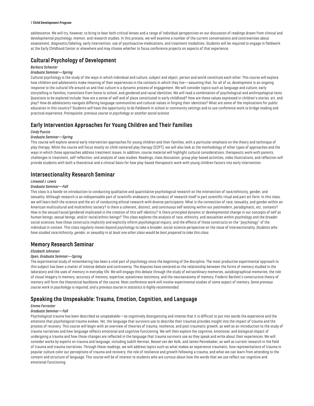#### 7 **Child Development Program**

adolescence. We will try, however, to bring to bear both critical lenses and a range of individual perspectives on our discussion of readings drawn from clinical and developmental psychology, memoir, and research studies. In this process, we will examine a number of the current conversations and controversies about assessment, diagnostic/labeling, early intervention, use of psychoactive medications, and treatment modalities. Students will be required to engage in fieldwork at the Early Childhood Center or elsewhere and may choose whether to focus conference projects on aspects of that experience.

# **Cultural Psychology of Development**

## *Barbara Schecter*

#### *Graduate Seminar—Spring*

Cultural psychology is the study of the ways in which individual and culture, subject and object, person and world constitute each other. This course will explore how children and adolescents make meaning of their experiences in the contexts in which they live—assuming that, for all of us, development is an ongoing response to the cultural life around us and that culture is a dynamic process of engagement. We will consider topics such as language and culture, early storytelling in families, transitions from home to school, and gendered and racial identities. We will read a combination of psychological and anthropological texts. Questions to be explored include: How are a sense of self and of place constituted in early childhood? How are these values expressed in children's stories, art, and play? How do adolescents navigate differing language communities and cultural values in forging their identities? What are some of the implications for public education in this country? Students will have the opportunity to do fieldwork in school or community settings and to use conference work to bridge reading and practical experience. *Prerequisite: previous course in psychology or another social science.*

# **Early Intervention Approaches for Young Children and Their Families**

#### *Cindy Puccio*

## *Graduate Seminar—Spring*

This course will explore several early intervention approaches for young children and their families, with a particular emphasis on the theory and technique of play therapy. While the course will focus mostly on child-centered play therapy (CCPT), we will also look at the methodology of other types of approaches and the ways in which those approaches address treatment issues. In addition, course material will highlight cultural considerations, therapeutic work with parents, challenges in treatment, self-reflection, and analysis of case studies. Readings, class discussion, group play-based activities, video illustrations, and reflection will provide students with both a theoretical and a clinical basis for how play-based therapeutic work with young children factors into early intervention.

# **Intersectionality Research Seminar**

#### *Linwood J. Lewis*

## *Graduate Seminar—Fall*

This class is a hands-on introduction to conducting qualitative and quantitative psychological research on the intersection of race/ethnicity, gender, and sexuality. Although research is an indispensable part of scientific endeavors, the conduct of research itself is part scientific ritual and part art form. In this class, we will learn both the science and the art of conducting ethical research with diverse participants. What is the connection of race, sexuality, and gender within an American multicultural and multiethnic society? Is there a coherent, distinct, and continuous self existing within our postmodern, paradigmatic, etc. contexts? How is the sexual/racial/gendered implicated in the creation of this self-identity? Is there principled dynamic or developmental change in our concepts of self as human beings, sexual beings, and/or racial/ethnic beings? This class explores the analysis of race, ethnicity, and sexualities within psychology and the broader social sciences; how those constructs implicitly and explicitly inform psychological inquiry; and the effects of those constructs on the "psychology" of the individual in context. This class regularly moves beyond psychology to take a broader, social-science perspective on the issue of intersectionality. *Students who have studied race/ethnicity, gender, or sexuality in at least one other class would be best prepared to take this class.*

## **Memory Research Seminar**

## *Elizabeth Johnston*

#### *Open, Graduate Seminar—Spring*

The experimental study of remembering has been a vital part of psychology since the beginning of the discipline. The most productive experimental approach to this subject has been a matter of intense debate and controversy. The disputes have centered on the relationship between the forms of memory studied in the laboratory and the uses of memory in everyday life. We will engage this debate through the study of extraordinary memories, autobiographical memories, the role of visual imagery in memory, accuracy of memory, expertise, eyewitness testimony, and the neuroanatomy of memory. Frederic Bartlett's constructive theory of memory will form the theoretical backbone of the course. Most conference work will involve experimental studies of some aspect of memory. *Some previous course work in psychology is required, and a previous course in statistics is highly recommended.*

# **Speaking the Unspeakable: Trauma, Emotion, Cognition, and Language**

## *Emma Forrester*

## *Graduate Seminar—Fall*

Psychological trauma has been described as unspeakable—so cognitively disorganizing and intense that it is difficult to put into words the experience and the emotions that psychological trauma evokes. Yet, the language that survivors use to describe their traumas provides insight into the impact of trauma and the process of recovery. This course will begin with an overview of theories of trauma, resilience, and post-traumatic growth, as well as an introduction to the study of trauma narratives and how language reflects emotional and cognitive functioning. We will then explore the cognitive, emotional, and biological impact of undergoing a trauma and how those changes are reflected in the language that trauma survivors use as they speak and write about their experiences. We will consider works by experts on trauma and language, including Judith Herman, Bessel van der Kolk, and James Pennebaker, as well as current research in the field of trauma and trauma narratives. Through these readings, we will address topics such as what makes an experience traumatic, how representations of trauma in popular culture color our perceptions of trauma and recovery, the role of resilience and growth following a trauma, and what we can learn from attending to the content and structure of language. This course will be of interest to students who are curious about how the words that we use reflect our cognitive and emotional functioning.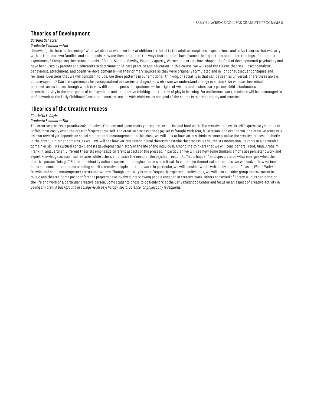# **Theories of Development**

## *Barbara Schecter*

#### *Graduate Seminar—Fall*

"Knowledge is there in the seeing." What we observe when we look at children is related to the adult assumptions, expectations, and naïve theories that we carry with us from our own families and childhoods. How are these related to the ways that theorists have framed their questions and understandings of children's experiences? Competing theoretical models of Freud, Skinner, Bowlby, Piaget, Vygotsky, Werner, and others have shaped the field of developmental psychology and have been used by parents and educators to determine child-care practice and education. In this course, we will read the classic theories—psychoanalytic, behaviorist, attachment, and cognitive-developmental—in their primary sources as they were originally formulated and in light of subsequent critiques and revisions. Questions that we will consider include: Are there patterns in our emotional, thinking, or social lives that can be seen as universal, or are these always culture-specific? Can life experiences be conceptualized in a series of stages? How else can we understand change over time? We will use theoretical perspectives as lenses through which to view different aspects of experience—the origins of wishes and desires, early parent-child attachments, intersubjectivity in the emergence of self, symbolic and imaginative thinking, and the role of play in learning. For conference work, students will be encouraged to do fieldwork at the Early Childhood Center or in another setting with children, as one goal of the course is to bridge theory and practice.

## **Theories of the Creative Process**

#### *Charlotte L. Doyle*

#### *Graduate Seminar—Fall*

The creative process is paradoxical; it involves freedom and spontaneity yet requires expertise and hard work. The creative process is self-expressive yet tends to unfold most easily when the creator forgets about self. The creative process brings joy yet is fraught with fear, frustration, and even terror. The creative process is its own reward yet depends on social support and encouragement. In this class, we will look at how various thinkers conceptualize the creative process—chiefly in the arts but in other domains, as well. We will see how various psychological theorists describe the process, its source, its motivation, its roots in a particular domain or skill, its cultural context, and its developmental history in the life of the individual. Among the thinkers that we will consider are Freud, Jung, Arnheim, Franklin, and Gardner. Different theorists emphasize different aspects of the process. In particular, we will see how some thinkers emphasize persistent work and expert knowledge as essential features while others emphasize the need for the psychic freedom to "let it happen" and speculate on what emerges when the creative person "lets go." Still others identify cultural context or biological factors as critical. To concretize theoretical approaches, we will look at how various ideas can contribute to understanding specific creative people and their work. In particular, we will consider works written by or about Picasso, Woolf, Welty, Darwin, and some contemporary artists and writers. Though creativity is most frequently explored in individuals, we will also consider group improvisation in music and theatre. Some past conference projects have involved interviewing people engaged in creative work. Others consisted of library studies centering on the life and work of a particular creative person. Some students chose to do fieldwork at the Early Childhood Center and focus on an aspect of creative activity in young children. *A background in college-level psychology, social science, or philosophy is required.*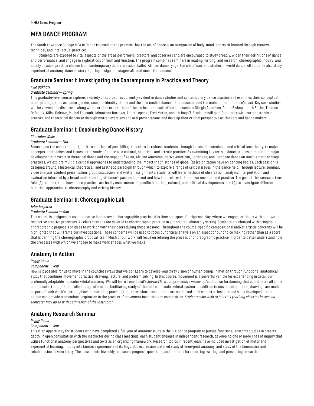# <span id="page-9-0"></span>**MFA DANCE PROGRAM**

The Sarah Lawrence College MFA in Dance is based on the premise that the art of dance is an integration of body, mind, and spirit learned through creative, technical, and intellectual practices.

Students are exposed to vital aspects of the art as performers, creators, and observers and are encouraged to study broadly, widen their definitions of dance and performance, and engage in explorations of form and function. The program combines seminars in reading, writing, and research; choreographic inquiry; and a daily physical practice chosen from contemporary dance, classical ballet, African dance, yoga, t'ai chi ch'uan, and studies in world dance. All students also study experiential anatomy, dance history, lighting design and stagecraft, and music for dancers.

# **Graduate Seminar I: Investigating the Contemporary in Practice and Theory**

## *Kyle Bukhari*

## *Graduate Seminar—Spring*

This graduate-level course explores a variety of approaches currently evident in dance studies and contemporary dance practice and examines their conceptual underpinnings, such as dance, gender, race and identity, dance and the intermedial, dance in the museum, and the embodiment of dance's past. Key case studies will be viewed and discussed, along with a critical exploration of theoretical proposals of authors such as Giorgio Agamben, Claire Bishop, Judith Butler, Thomas DeFrantz, Gilles Deleuze, Michel Foucault, Johnathan Burrows, Andre Lepecki, Fred Moten, and Irit Rogoff. Students will gain familiarity with current trends in practice and theoretical discourse through written exercises and oral presentations and develop their critical perspective as thinkers and dance makers.

# **Graduate Seminar I: Decolonizing Dance History**

## *Charmian Wells*

#### *Graduate Seminar—Fall*

Focusing on the concert stage (and its conditions of possibility), this class introduces students, through lenses of postcolonial and critical race theory, to major concepts, approaches, and issues in the study of dance as a cultural, historical, and artistic practice. By examining key texts in dance studies in relation to major developments in Western theatrical dance and the impact of Asian, African American, Native American, Caribbean, and European dance on North American stage practices, we explore multiple critical approaches to understanding the impact that histories of global (de)colonization have on dancing bodies. Each session is designed around a historical, theoretical, and aesthetic paradigm through which to explore a range of critical issues in the dance field. Through lecture, seminar, video analysis, student presentation, group discussion, and written assignments, students will learn methods of observation, analysis, interpretation, and evaluation informed by a broad understanding of dance's past and present and how that relates to their own research and practice. The goal of this course is twofold: (1) to understand how dance practices are bodily enactments of specific historical, cultural, and political developments; and (2) to investigate different historical approaches to choreography and writing history.

# **Graduate Seminar II: Choreographic Lab**

#### *John Jasperse*

#### *Graduate Seminar—Year*

This course is designed as an imaginative laboratory in choreographic practice. It is time and space for rigorous play, where we engage critically with our own respective creative processes. All class sessions are devoted to choreographic practice in a mentored laboratory setting. Students are charged with bringing in choreographic proposals or ideas to work on with their peers during these sessions. Throughout the course, specific compositional and/or artistic concerns will be highlighted that will frame our investigations. Those concerns will be used to focus our critical analysis on an aspect of our choice making rather than as a score that is defining the choreographic proposal itself. Much of our work will focus on refining the process of choreographic practice in order to better understand how the processes with which we engage to make work shapes what we make.

## **Anatomy in Action**

#### *Peggy Gould*

#### *Component—Year*

How is it possible for us to move in the countless ways that we do? Learn to develop your X-ray vision of human beings in motion through functional anatomical study that combines movement practice, drawing, lecture, and problem solving. In this course, movement is a powerful vehicle for experiencing in detail our profoundly adaptable musculoskeletal anatomy. We will learn Irene Dowd's *SpiralsTM*, a comprehensive warm-up/cool-down for dancing that coordinates all joints and muscles through their fullest range of motion, facilitating study of the entire musculoskeletal system. In addition to movement practice, drawings are made as part of each week's lecture (drawing materials provided) and three short assignments are submitted each semester. Insights and skills developed in this course can provide tremendous inspiration in the process of movement invention and composition. *Students who wish to join this yearlong class in the second semester may do so with permission of the instructor.*

# **Anatomy Research Seminar**

## *Peggy Gould*

#### *Component—Year*

This is an opportunity for students who have completed a full year of anatomy study in the SLC dance program to pursue functional anatomy studies in greater depth. In open consultation with the instructor during class meetings, each student engages in independent research, developing one or more lines of inquiry that utilize functional anatomy perspectives and texts as an organizing framework. Research topics in recent years have included investigation of motor and experiential learning, inquiry into kinetic experience and its linguistic expression, detailed study of knee-joint anatomy, and study of the kinematics and rehabilitation in knee injury. The class meets biweekly to discuss progress, questions, and methods for reporting, writing, and presenting research.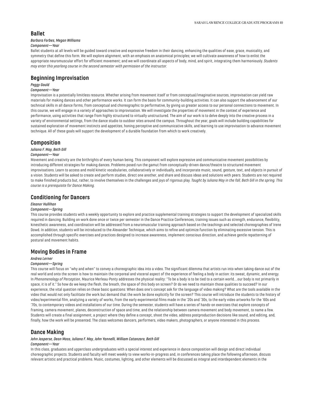## **Ballet**

#### *Barbara Forbes, Megan Williams*

## *Component—Year*

Ballet students at all levels will be guided toward creative and expressive freedom in their dancing, enhancing the qualities of ease, grace, musicality, and symmetry that define this form. We will explore alignment, with an emphasis on anatomical principles; we will cultivate awareness of how to enlist the appropriate neuromuscular effort for efficient movement; and we will coordinate all aspects of body, mind, and spirit, integrating them harmoniously. *Students may enter this yearlong course in the second semester with permission of the instructor.*

## **Beginning Improvisation**

## *Peggy Gould*

## *Component—Year*

Improvisation is a potentially limitless resource. Whether arising from movement itself or from conceptual/imaginative sources, improvisation can yield raw materials for making dances and other performance works. It can form the basis for community-building activities. It can also support the advancement of our technical skills in all dance forms, from conceptual and choreographic to performative, by giving us greater access to our personal connections to movement. In this course, we will engage in a variety of approaches to improvisation. We will investigate the properties of movement in the context of experience and performance, using activities that range from highly structured to virtually unstructured. The aim of our work is to delve deeply into the creative process in a variety of environmental settings, from the dance studio to outdoor sites around the campus. Throughout the year, goals will include building capabilities for sustained exploration of movement instincts and appetites, honing perceptive and communicative skills, and learning to use improvisation to advance movement technique. All of these goals will support the development of a durable foundation from which to work creatively.

## **Composition**

## *Juliana F. May, Beth Gill*

#### *Component—Year*

Movement and creativity are the birthrights of every human being. This component will explore expressive and communicative movement possibilities by introducing different strategies for making dances. Problems posed run the gamut from conceptually-driven dance/theatre to structured movement improvisations. Learn to access and mold kinetic vocabularies, collaboratively or individually, and incorporate music, sound, gesture, text, and objects in pursuit of a vision. Students will be asked to create and perform studies, direct one another, and share and discuss ideas and solutions with peers. Students are not required to make finished products but, rather, to involve themselves in the challenges and joys of rigorous play. *Taught by Juliana May in the fall, Beth Gill in the spring. This course is a prerequisite for Dance Making.*

# **Conditioning for Dancers**

#### *Eleanor Hullihan*

#### *Component—Spring*

This course provides students with a weekly opportunity to explore and practice supplemental training strategies to support the development of specialized skills required in dancing. Building on work done once or twice per semester in the Dance Practice Conferences, training issues such as strength, endurance, flexibility, kinesthetic awareness, and coordination will be addressed from a neuromuscular training approach based on the teachings and selected choreographies of Irene Dowd. In addition, students will be introduced to the Alexander Technique, which aims to refine and optimize function by eliminating excessive tension. This is accomplished through specific exercises and practices designed to increase awareness, implement conscious direction, and achieve gentle repatterning of postural and movement habits.

## **Moving Bodies in Frame**

#### *Andrea Lerner*

#### *Component—Spring*

This course will focus on "why and when" to convey a choreographic idea into a video. The significant dilemma that artists run into when taking dance out of the real world and onto the screen is how to maintain the corporeal and visceral aspect of the experience of feeling a body in action: its sweat, dynamic, and energy. In *Phenomenology of Perception*, Maurice Merleau-Ponty addresses the physical reality: "To be a body is to be tied to a certain world….our body is not primarily in space, it is of it." So how do we keep the flesh, the breath, the space of this body on screen? Or do we need to maintain those qualities to succeed? In our experience, the vital question relies on these basic questions: When does one's concept ask for the language of video making? What are the tools available in the video that would not only facilitate the work but demand that the work be done explicitly for the screen? This course will introduce the students to the history of video/experimental film, analyzing a variety of works, from the early experimental films made in the '20s and '30s, to the early video artworks for the '60s and '70s, to contemporary videos and installations of our time. During the semester, students will have a series of hands-on exercises that explore concepts of framing, camera movement, planes, deconstruction of space and time, and the relationship between camera movement and body movement, to name a few. Students will create a final assignment, a project where they define a concept, shoot the video, address postproduction decisions like sound, and editing, and, finally, how the work will be presented. The class welcomes dancers, performers, video makers, photographers, or anyone interested in this process.

## **Dance Making**

# *John Jasperse, Dean Moss, Juliana F. May, John Yannelli, William Catanzaro, Beth Gill*

## *Component—Year*

In this class, graduates and upperclass undergraduates with a special interest and experience in dance composition will design and direct individual choreographic projects. Students and faculty will meet weekly to view works-in-progress and, in conferences taking place the following afternoon, discuss relevant artistic and practical problems. Music, costumes, lighting, and other elements will be discussed as integral and interdependent elements in the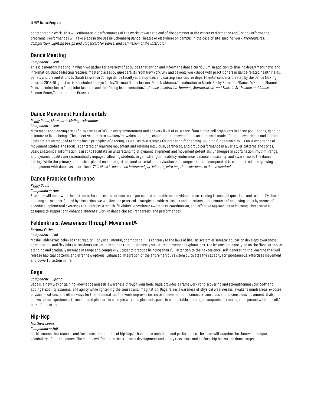#### 11 **MFA Dance Program**

choreographic work. This will culminate in performances of the works toward the end of the semester in the Winter Performance and Spring Performance programs. Performances will take place in the Bessie Schönberg Dance Theatre or elsewhere on campus in the case of site-specific work. *Prerequisites: Composition, Lighting Design and Stagecraft for Dance, and permission of the instructor.*

## **Dance Meeting**

#### *Component—Year*

This is a monthly meeting in which we gather for a variety of activities that enrich and inform the dance curriculum. In addition to sharing department news and information, Dance Meeting features master classes by guest artists from New York City and beyond, workshops with practitioners in dance-related health fields, panels and presentations by Sarah Lawrence College dance faculty and alumnae, and casting sessions for departmental concerts created by the Dance Making class. In 2018-19, guest artists included Jacalyn Carley/German Dance lecture; Mina Nishimura/Introduction to Butoh; Rocky Bornstein/Dancer's Health; Shamel Pitts/Introduction to Gaga; John Jasperse and Una Chung in conversation/*Influence, Inspiration, Homage, Appropriation, and Theft in Art Making and Dance*, and Eleanor Bauer/Choreographic Process.

# **Dance Movement Fundamentals**

## *Peggy Gould, Merceditas Mañago-Alexander*

#### *Component—Year*

Movement and dancing are definitive signs of life! In every environment and at every level of existence, from single-cell organisms to entire populations, dancing is innate to living beings. The objective here is to awaken/reawaken students' connection to movement as an elemental mode of human experience and learning. Students are introduced to some basic principles of dancing, as well as to strategies for preparing for dancing. Building fundamental skills for a wide range of movement studies, the focus is centered on learning movement and refining individual, partnered, and group performance in a variety of patterns and styles. Basic anatomical information is used to facilitate an understanding of dynamic alignment and movement potentials. Challenges in coordination, rhythm, range, and dynamic quality are systematically engaged, allowing students to gain strength, flexibility, endurance, balance, musicality, and awareness in the dance setting. While the primary emphasis is placed on learning structured material, improvisation and composition are incorporated to support students' growing engagement with dance as an art form. *This class is open to all interested participants, with no prior experience in dance required.*

## **Dance Practice Conference**

## *Peggy Gould*

#### *Component—Year*

Students will meet with the instructor for this course at least once per semester to address individual dance training issues and questions and to identify shortand long-term goals. Guided by discussion, we will develop practical strategies to address issues and questions in the context of achieving goals by means of specific supplemental exercises that address strength, flexibility, kinesthetic awareness, coordination, and effective approaches to learning. This course is designed to support and enhance students' work in dance classes, rehearsals, and performances.

## **Feldenkrais: Awareness Through Movement®**

#### *Barbara Forbes*

#### *Component—Fall*

Moshe Feldenkrais believed that rigidity—physical, mental, or emotional—is contrary to the laws of life. His system of somatic education develops awareness, coordination, and flexibility as students are verbally guided through precisely structured movement explorations. The lessons are done lying on the floor, sitting, or standing and gradually increase in range and complexity. Students practice bringing their full attention to their experience, self-generating the learning that will release habitual patterns and offer new options. Enhanced integration of the entire nervous system cultivates the capacity for spontaneous, effortless movement and powerful action in life.

## **Gaga**

## *Component—Spring*

Gaga is a new way of gaining knowledge and self-awareness through your body. Gaga provides a framework for discovering and strengthening your body and adding flexibility, stamina, and agility while lightening the senses and imagination. Gaga raises awareness of physical weaknesses, awakens numb areas, exposes physical fixations, and offers ways for their elimination. The work improves instinctive movement and connects conscious and unconscious movement; it also allows for an experience of freedom and pleasure in a simple way, in a pleasant space, in comfortable clothes, accompanied by music, each person with himself/ herself and others.

## **Hip-Hop**

## *Matthew Lopez*

#### *Component—Fall*

In this course that teaches and facilitates the practice of hip-hop/urban dance technique and performance, the class will examine the theory, technique, and vocabulary of hip-hop dance. The course will facilitate the student's development and ability to execute and perform hip hop/urban dance steps.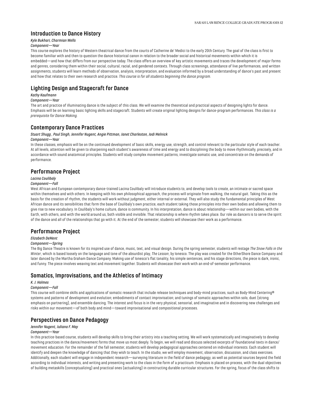# **Introduction to Dance History**

# *Kyle Bukhari, Charmian Wells*

## *Component—Year*

This course explores the history of Western theatrical dance from the courts of Catherine de' Medici to the early 20th Century. The goal of the class is first to become familiar with and then to question the dance historical canon in relation to the broader social and historical movements within which it is embedded—and how that differs from our perspective today. The class offers an overview of key artistic movements and traces the development of major forms and genres, considering them within their social, cultural, racial, and gendered contexts. Through class screenings, attendance of live performances, and written assignments, students will learn methods of observation, analysis, interpretation, and evaluation informed by a broad understanding of dance's past and present and how that relates to their own research and practice. *This course is for all students beginning the dance program.*

# **Lighting Design and Stagecraft for Dance**

## *Kathy Kaufmann*

#### *Component—Year*

The art and practice of illuminating dance is the subject of this class. We will examine the theoretical and practical aspects of designing lights for dance. Emphasis will be on learning basic lighting skills and stagecraft. Students will create original lighting designs for dance-program performances. *This class is a prerequisite for Dance Making.*

## **Contemporary Dance Practices**

#### *Stuart Shugg , Paul Singh, Jennifer Nugent, Angie Pittman, Janet Charleston, Jodi Melnick Component—Year*

In these classes, emphasis will be on the continued development of basic skills, energy use, strength, and control relevant to the particular style of each teacher. At all levels, attention will be given to sharpening each student's awareness of time and energy and to disciplining the body to move rhythmically, precisely, and in accordance with sound anatomical principles. Students will study complex movement patterns, investigate somatic use, and concentrate on the demands of performance.

# **Performance Project**

## *Lacina Coulibaly*

## *Component—Fall*

West African and European contemporary dance-trained Lacina Coulibaly will introduce students to, and develop tools to create, an intimate or sacred space within themselves and with others. In keeping with his own philosophical approach, the process will originate from walking, the natural gait. Taking this as the basis for the creation of rhythm, the students will work without judgment, either internal or external. They will also study the fundamental principles of West African dance and its sensibilities that form the base of Coulibaly's own practice, each student taking those principles into their own bodies and allowing them to give rise to new vocabulary. In Coulibaly's home culture, dance is community. In his interpretation, dance is about relationship—within our own bodies, with the Earth, with others, and with the world around us, both visible and invisible. That relationship is where rhythm takes place. Our role as dancers is to serve the spirit of the dance and all of the relationships that go with it. At the end of the semester, students will showcase their work as a performance.

# **Performance Project**

## *Elizabeth DeMent*

#### *Component—Spring*

The Big Dance Theatre is known for its inspired use of dance, music, text, and visual design. During the spring semester, students will restage *The Snow Falls in the Winter*, which is based loosely on the language and tone of the absurdist play, *The Lesson*, by Ionesco. The play was created for the OtherShore Dance Company and later danced by the Martha Graham Dance Company. Making use of Ionesco's flat tonality, his simple sentences, and his stage directions, the piece is dark, ironic, and funny. The piece involves weaving text and movement together. Students will showcase their work with an end-of-semester performance.

# **Somatics, Improvisations, and the Athletics of Intimacy**

## *K. J. Holmes*

#### *Component—Fall*

This course will combine skills and applications of somatic research that include release techniques and body-mind practices, such as Body-Mind Centering® systems and patterns of development and evolution; embodiments of contact improvisation; and tunings of somatic approaches within solo, duet (strong emphasis on partnering), and ensemble dancing. The interest and focus is in the very physical, sensorial, and imaginative and in discovering new challenges and risks within our movement—of both body and mind—toward improvisational and compositional processes.

# **Perspectives on Dance Pedagogy**

## *Jennifer Nugent, Juliana F. May*

## *Component—Year*

In this practice-based course, students will develop skills to bring their artistry into a teaching setting. We will work systematically and imaginatively to develop teaching practices in the dance/movement forms that move us most deeply. To begin, we will read and discuss selected excerpts of foundational texts in dance/ movement education. For the remainder of the fall semester, students will develop pedagogical approaches centered on individual interests. Each student will identify and deepen the knowledge of dancing that they wish to teach. In the studio, we will employ movement, observation, discussion, and class exercises. Additionally, each student will engage in independent research—surveying literature in the field of dance pedagogy, as well as potential sources beyond the field according to individual interests, and writing and presenting work to the class in the form of a practicum. Emphasis is placed on process, with the dual objectives of building metaskills (conceptualizing) and practical ones (actualizing) in constructing durable curricular structures. For the spring, focus of the class shifts to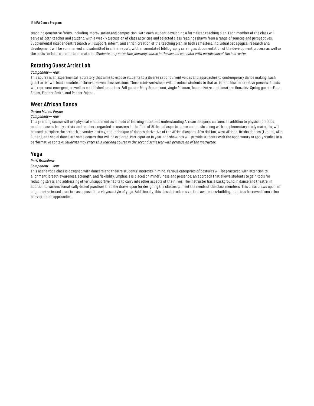#### 13 **MFA Dance Program**

teaching generative forms, including improvisation and composition, with each student developing a formalized teaching plan. Each member of the class will serve as both teacher and student, with a weekly discussion of class activities and selected class readings drawn from a range of sources and perspectives. Supplemental independent research will support, inform, and enrich creation of the teaching plan. In both semesters, individual pedagogical research and development will be summarized and submitted in a final report, with an annotated bibliography serving as documentation of the development process as well as the basis for future promotional material. *Students may enter this yearlong course in the second semester with permission of the instructor.*

# **Rotating Guest Artist Lab**

## *Component—Year*

This course is an experimental laboratory that aims to expose students to a diverse set of current voices and approaches to contemporary dance making. Each guest artist will lead a module of three-to-seven class sessions. These mini-workshops will introduce students to that artist and his/her creative process. Guests will represent emergent, as well as established, practices. Fall guests: Mary Armentrout, Angie Pittman, Joanna Kotze, and Jonathan Gonzalez. Spring guests: Fana Fraser, Eleanor Smith, and Pepper Fajans.

# **West African Dance**

#### *Darian Marcel Parker*

#### *Component—Year*

This yearlong course will use physical embodiment as a mode of learning about and understanding African diasporic cultures. In addition to physical practice, master classes led by artists and teachers regarded as masters in the field of African diasporic dance and music, along with supplementary study materials, will be used to explore the breadth, diversity, history, and technique of dances derivative of the Africa diaspora. Afro Haitian, West African, Orisha dances (Lucumi, Afro Cuban), and social dance are some genres that will be explored. Participation in year-end showings will provide students with the opportunity to apply studies in a performative context. *Students may enter this yearlong course in the second semester with permission of the instructor.*

## **Yoga**

## *Patti Bradshaw*

## *Component—Year*

This asana yoga class is designed with dancers and theatre students' interests in mind. Various categories of postures will be practiced with attention to alignment, breath awareness, strength, and flexibility. Emphasis is placed on mindfulness and presence, an approach that allows students to gain tools for reducing stress and addressing other unsupportive habits to carry into other aspects of their lives. The instructor has a background in dance and theatre, in addition to various somatically-based practices that she draws upon for designing the classes to meet the needs of the class members. This class draws upon an alignment-oriented practice, as opposed to a vinyasa style of yoga. Additionally, this class introduces various awareness-building practices borrowed from other body-oriented approaches.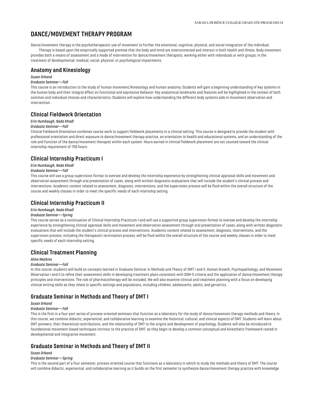# <span id="page-14-0"></span>**DANCE/MOVEMENT THERAPY PROGRAM**

Dance/movement therapy is the psychotherapeutic use of movement to further the emotional, cognitive, physical, and social integration of the individual.

Therapy is based upon the empirically supported premise that the body and mind are interconnected and interact in both health and illness. Body movement provides both a means of assessment and a mode of intervention for dance/movement therapists, working either with individuals or with groups, in the treatment of developmental, medical, social, physical, or psychological impairments.

# **Anatomy and Kinesiology**

#### *Susan Orkand*

#### *Graduate Seminar—Fall*

This course is an introduction to the study of human movement/kinesiology and human anatomy. Students will gain a beginning understanding of key systems in the human body and their integral effect on functional and expressive behavior. Key anatomical landmarks and features will be highlighted in the context of both common and individual choices and characteristics. Students will explore how understanding the different body systems aids in movement observation and intervention.

# **Clinical Fieldwork Orientation**

## *Erin Humbaugh, Nada Khodl*

## *Graduate Seminar—Fall*

Clinical Fieldwork Orientation combines course work to support fieldwork placements in a clinical setting. This course is designed to provide the student with professional orientation and direct exposure to dance/movement therapy practice, an orientation to health and educational systems, and an understanding of the role and function of the dance/movement therapist within each system. Hours earned in clinical fieldwork placement are not counted toward the clinical internship requirement of 700 hours.

# **Clinical Internship Practicum I**

#### *Erin Humbaugh, Nada Khodl*

#### *Graduate Seminar—Fall*

This course will use a group supervision format to oversee and develop the internship experience by strengthening clinical appraisal skills and movement and observation assessment through oral presentation of cases, along with written diagnostic evaluations that will include the student's clinical process and interventions. Academic content related to assessment, diagnosis, interventions, and the supervision process will be fluid within the overall structure of the course and weekly classes in order to meet the specific needs of each internship setting.

## **Clinical Internship Practicum II**

## *Erin Humbaugh, Nada Khodl*

#### *Graduate Seminar—Spring*

This course serves as a continuation of Clinical Internship Practicum I and will use a supportive group supervision format to oversee and develop the internship experience by strengthening clinical appraisal skills and movement and observation assessment through oral presentation of cases, along with written diagnostic evaluations that will include the student's clinical process and interventions. Academic content related to assessment, diagnosis, interventions, and the supervision process, including the therapeutic termination process, will be fluid within the overall structure of the course and weekly classes in order to meet specific needs of each internship setting.

# **Clinical Treatment Planning**

#### *Alma Watkins*

#### *Graduate Seminar—Fall*

In this course, students will build on concepts learned in Graduate Seminar in Methods and Theory of DMT I and II, Human Growth, Psychopathology, and Movement Observation I and II to refine their assessment skills in developing treatment plans consistent with DSM-5 criteria and the application of dance/movement therapy principles and interventions. The role of pharmacotherapy will be included. We will also examine clinical and treatment planning with a focus on developing clinical writing skills as they relate to specific settings and populations, including children, adolescents, adults, and geriatrics.

# **Graduate Seminar in Methods and Theory of DMT I**

## *Susan Orkand*

## *Graduate Seminar—Fall*

This is the first in a four-part series of process-oriented seminars that function as a laboratory for the study of dance/movement therapy methods and theory. In this course, we combine didactic, experiential, and collaborative learning to examine the historical, cultural, and clinical aspects of DMT. Students will learn about DMT pioneers, their theoretical contributions, and the relationship of DMT to the origins and development of psychology. Students will also be introduced to foundational movement-based techniques intrinsic to the practice of DMT, as they begin to develop a common conceptual and kinesthetic framework rooted in developmental and integrative movement.

# **Graduate Seminar in Methods and Theory of DMT II**

## *Susan Orkand*

## *Graduate Seminar—Spring*

This is the second part of a four-semester, process-oriented course that functions as a laboratory in which to study the methods and theory of DMT. The course will combine didactic, experiential, and collaborative learning as it builds on the first semester to synthesize dance/movement therapy practice with knowledge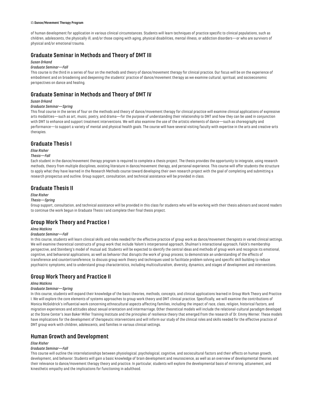#### 15 **Dance/Movement Therapy Program**

of human development for application in various clinical circumstances. Students will learn techniques of practice specific to clinical populations, such as children, adolescents, the physically ill, and/or those coping with aging, physical disabilities, mental illness, or addiction disorders—or who are survivors of physical and/or emotional trauma.

## **Graduate Seminar in Methods and Theory of DMT III**

#### *Susan Orkand*

#### *Graduate Seminar—Fall*

This course is the third in a series of four on the methods and theory of dance/movement therapy for clinical practice. Our focus will be on the experience of embodiment and on broadening and deepening the students' practice of dance/movement therapy as we examine cultural, spiritual, and socioeconomic perspectives on dance and healing.

# **Graduate Seminar in Methods and Theory of DMT IV**

#### *Susan Orkand*

## *Graduate Seminar—Spring*

This final course in the series of four on the methods and theory of dance/movement therapy for clinical practice will examine clinical applications of expressive arts modalities—such as art, music, poetry, and drama—for the purpose of understanding their relationship to DMT and how they can be used in conjunction with DMT to enhance and support treatment interventions. We will also examine the use of the artistic elements of dance—such as choreography and performance—to support a variety of mental and physical health goals. The course will have several visiting faculty with expertise in the arts and creative-arts therapies.

## **Graduate Thesis I**

#### *Elise Risher*

#### *Thesis—Fall*

Each student in the dance/movement therapy program is required to complete a thesis project. The thesis provides the opportunity to integrate, using research methods, theory from multiple disciplines, existing literature in dance/movement therapy, and personal experience. This course will offer students the structure to apply what they have learned in the Research Methods course toward developing their own research project with the goal of completing and submitting a research prospectus and outline. Group support, consultation, and technical assistance will be provided in class.

## **Graduate Thesis II**

#### *Elise Risher*

## *Thesis—Spring*

Group support, consultation, and technical assistance will be provided in this class for students who will be working with their thesis advisors and second readers to continue the work begun in Graduate Thesis I and complete their final thesis project.

# **Group Work Theory and Practice I**

#### *Alma Watkins*

#### *Graduate Seminar—Fall*

In this course, students will learn clinical skills and roles needed for the effective practice of group work as dance/movement therapists in varied clinical settings. We will examine theoretical constructs of group work that include Yalom's interpersonal approach, Shulman's interactional approach, Falck's membership perspective, and Steinberg's model of mutual aid. Students will be expected to identify the central ideas and methods of group work and recognize its emotional, cognitive, and behavioral applications, as well as behavior that disrupts the work of group process; to demonstrate an understanding of the effects of transference and countertransference; to discuss group work theory and techniques used to facilitate problem solving and specific skill building to reduce psychiatric symptoms; and to understand group characteristics, including multiculturalism, diversity, dynamics, and stages of development and interventions.

# **Group Work Theory and Practice II**

## *Alma Watkins*

## *Graduate Seminar—Spring*

In this course, students will expand their knowledge of the basic theories, methods, concepts, and clinical applications learned in Group Work Theory and Practice I. We will explore the core elements of systems approaches to group work theory and DMT clinical practice. Specifically, we will examine the contributions of Monica McGoldrick's influential work concerning ethnocultural aspects affecting families, including the impact of race, class, religion, historical factors, and migration experiences and attitudes about sexual orientation and intermarriage. Other theoretical models will include the relational-cultural paradigm developed at the Stone Center's Jean Baker Miller Training Institute and the principles of resilience theory that emerged from the research of Dr. Emmy Werner. These models have implications for the development of therapeutic interventions and will inform our study of the clinical roles and skills needed for the effective practice of DMT group work with children, adolescents, and families in various clinical settings.

## **Human Growth and Development**

#### *Elise Risher*

#### *Graduate Seminar—Fall*

This course will outline the interrelationships between physiological, psychological, cognitive, and sociocultural factors and their effects on human growth, development, and behavior. Students will gain a basic knowledge of brain development and neuroscience, as well as an overview of developmental theories and their relevance to dance/movement therapy theory and practice. In particular, students will explore the developmental basis of mirroring, attunement, and kinesthetic empathy and the implications for functioning in adulthood.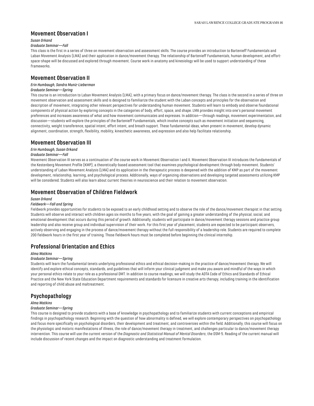## **Movement Observation I**

#### *Susan Orkand*

#### *Graduate Seminar—Fall*

This class is the first in a series of three on movement observation and assessment skills. The course provides an introduction to Bartenieff Fundamentals and Laban Movement Analysis (LMA) and their application in dance/movement therapy. The relationship of Bartenieff Fundamentals, human development, and effortspace-shape will be discussed and explored through movement. Course work in anatomy and kinesiology will be used to support understanding of these frameworks.

## **Movement Observation II**

#### *Erin Humbaugh, Sandra Muniz-Lieberman*

## *Graduate Seminar—Spring*

This course is an introduction to Laban Movement Analysis (LMA), with a primary focus on dance/movement therapy. The class is the second in a series of three on movement observation and assessment skills and is designed to familiarize the student with the Laban concepts and principles for the observation and description of movement, integrating other relevant perspectives for understanding human movement. Students will learn to embody and observe foundational components of physical action by exploring concepts in the categories of body, effort, space, and shape. LMA provides insight into one's personal movement preferences and increases awareness of what and how movement communicates and expresses. In addition—through readings, movement experimentation, and discussion—students will explore the principles of the Bartenieff Fundamentals, which involve concepts such as movement initiation and sequencing, connectivity, weight transference, spatial intent, effort intent, and breath support. These fundamental ideas, when present in movement, develop dynamic alignment, coordination, strength, flexibility, mobility, kinesthetic awareness, and expression and also help facilitate relationship.

## **Movement Observation III**

#### *Erin Humbaugh, Susan Orkand*

#### *Graduate Seminar—Fall*

Movement Observation III serves as a continuation of the course work in Movement Observation I and II. Movement Observation III introduces the fundamentals of the Kestenberg Movement Profile (KMP), a theoretically-based assessment tool that examines psychological development through body movement. Students' understanding of Laban Movement Analysis (LMA) and its application in the therapeutic process is deepened with the addition of KMP as part of the movement development, relationship, learning, and psychological process. Additionally, ways of organizing observations and developing targeted assessments utilizing KMP will be considered. Students will also learn about current theories in neuroscience and their relation to movement observation.

# **Movement Observation of Children Fieldwork**

## *Susan Orkand*

#### *Fieldwork—Fall and Spring*

Fieldwork provides opportunities for students to be exposed to an early childhood setting and to observe the role of the dance/movement therapist in that setting. Students will observe and interact with children ages six months to five years, with the goal of gaining a greater understanding of the physical, social, and emotional development that occurs during this period of growth. Additionally, students will participate in dance/movement therapy sessions and practice group leadership and also receive group and individual supervision of their work. For this first year of placement, students are expected to be participant observers, actively observing and engaging in the process of dance/movement therapy without the full responsibility of a leadership role. Students are required to complete 200 fieldwork hours in the first year of training. Those fieldwork hours must be completed before beginning the clinical internship.

# **Professional Orientation and Ethics**

#### *Alma Watkins*

#### *Graduate Seminar—Spring*

Students will learn the fundamental tenets underlying professional ethics and ethical decision-making in the practice of dance/movement therapy. We will identify and explore ethical concepts, standards, and guidelines that will inform your clinical judgment and make you aware and mindful of the ways in which your personal ethics relate to your role as a professional DMT. In addition to course readings, we will study the ADTA Code of Ethics and Standards of Ethical Practice and the New York State Education Department requirements and standards for licensure in creative arts therapy, including training in the identification and reporting of child abuse and maltreatment.

## **Psychopathology**

#### *Alma Watkins*

#### *Graduate Seminar—Spring*

This course is designed to provide students with a base of knowledge in psychopathology and to familiarize students with current conceptions and empirical findings in psychopathology research. Beginning with the question of how abnormality is defined, we will explore contemporary perspectives on psychopathology and focus more specifically on psychological disorders, their development and treatment, and controversies within the field. Additionally, this course will focus on the physiologic and motoric manifestations of illness, the role of dance/movement therapy in treatment, and challenges particular to dance/movement therapy intervention. This course will use the current version of the *Diagnostic and Statistical Manual of Mental Disorders*, the DSM-5. Reading of the current manual will include discussion of recent changes and the impact on diagnostic understanding and treatment formulation.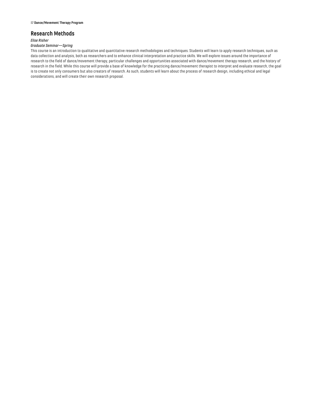## **Research Methods**

## *Elise Risher*

## *Graduate Seminar—Spring*

This course is an introduction to qualitative and quantitative research methodologies and techniques. Students will learn to apply research techniques, such as data collection and analysis, both as researchers and to enhance clinical interpretation and practice skills. We will explore issues around the importance of research to the field of dance/movement therapy, particular challenges and opportunities associated with dance/movement therapy research, and the history of research in the field. While this course will provide a base of knowledge for the practicing dance/movement therapist to interpret and evaluate research, the goal is to create not only consumers but also creators of research. As such, students will learn about the process of research design, including ethical and legal considerations, and will create their own research proposal.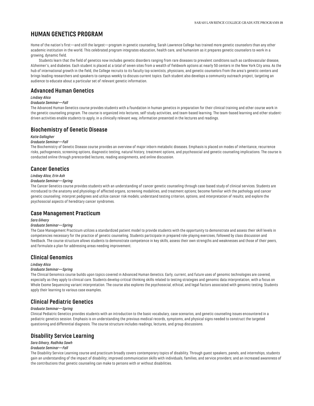# <span id="page-18-0"></span>**HUMAN GENETICS PROGRAM**

Home of the nation's first—and still the largest—program in genetic counseling, Sarah Lawrence College has trained more genetic counselors than any other academic institution in the world. This celebrated program integrates education, health care, and humanism as it prepares genetic counselors to work in a growing, dynamic field.

Students learn that the field of genetics now includes genetic disorders ranging from rare diseases to prevalent conditions such as cardiovascular disease, Alzheimer's, and diabetes. Each student is placed at a total of seven sites from a wealth of fieldwork options at nearly 50 centers in the New York City area. As the hub of international growth in the field, the College recruits to its faculty top scientists, physicians, and genetic counselors from the area's genetic centers and brings leading researchers and speakers to campus weekly to discuss current topics. Each student also develops a community outreach project, targeting an audience to educate about a particular set of relevant genetic information.

## **Advanced Human Genetics**

#### *Lindsey Alico*

#### *Graduate Seminar—Fall*

The Advanced Human Genetics course provides students with a foundation in human genetics in preparation for their clinical training and other course work in the genetic counseling program. The course is organized into lectures, self-study activities, and team-based learning. The team-based learning and other studentdriven activities enable students to apply, in a clinically relevant way, information presented in the lectures and readings.

## **Biochemistry of Genetic Disease**

#### *Katie Gallagher*

#### *Graduate Seminar—Fall*

The Biochemistry of Genetic Disease course provides an overview of major inborn metabolic diseases. Emphasis is placed on modes of inheritance, recurrence risks, pathogenesis, screening options, diagnostic testing, natural history, treatment options, and psychosocial and genetic counseling implications. The course is conducted online through prerecorded lectures, reading assignments, and online discussion.

## **Cancer Genetics**

## *Lindsey Alico, Erin Ash*

#### *Graduate Seminar—Spring*

The Cancer Genetics course provides students with an understanding of cancer genetic counseling through case-based study of clinical services. Students are introduced to the anatomy and physiology of affected organs, screening modalities, and treatment options; become familiar with the pathology and cancer genetic counseling; interpret pedigrees and utilize cancer risk models; understand testing criterion, options, and interpretation of results; and explore the psychosocial aspects of hereditary cancer syndromes.

## **Case Management Practicum**

## *Sara Gilvary*

#### *Graduate Seminar—Spring*

The Case Management Practicum utilizes a standardized patient model to provide students with the opportunity to demonstrate and assess their skill levels in competencies necessary for the practice of genetic counseling. Students participate in prepared role-playing exercises, followed by class discussion and feedback. The course structure allows students to demonstrate competence in key skills, assess their own strengths and weaknesses and those of their peers, and formulate a plan for addressing areas needing improvement.

## **Clinical Genomics**

#### *Lindsey Alico*

#### *Graduate Seminar—Spring*

The Clinical Genomics course builds upon topics covered in Advanced Human Genetics. Early, current, and future uses of genomic technologies are covered, especially as they apply to clinical care. Students develop critical thinking skills related to testing strategies and genomic data interpretation, with a focus on Whole Exome Sequencing variant interpretation. The course also explores the psychosocial, ethical, and legal factors associated with genomic testing. Students apply their learning to various case examples.

## **Clinical Pediatric Genetics**

#### *Graduate Seminar—Spring*

Clinical Pediatric Genetics provides students with an introduction to the basic vocabulary, case scenarios, and genetic counseling issues encountered in a pediatric genetics session. Emphasis is on understanding the previous medical records, symptoms, and physical signs needed to construct the targeted questioning and differential diagnosis. The course structure includes readings, lectures, and group discussions.

## **Disability Service Learning**

## *Sara Gilvary, Radhika Sawh*

#### *Graduate Seminar—Fall*

The Disability Service Learning course and practicum broadly covers contemporary topics of disability. Through guest speakers, panels, and internships, students gain an understanding of the impact of disability; improved communication skills with individuals, families, and service providers; and an increased awareness of the contributions that genetic counseling can make to persons with or without disabilities.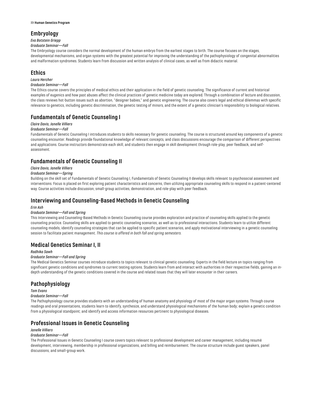# **Embryology**

# *Eva Botstein Griepp*

## *Graduate Seminar—Fall*

The Embryology course considers the normal development of the human embryo from the earliest stages to birth. The course focuses on the stages, developmental mechanisms, and organ systems with the greatest potential for improving the understanding of the pathophysiology of congenital abnormalities and malformation syndromes. Students learn from discussion and written analysis of clinical cases, as well as from didactic material.

# **Ethics**

## *Laura Hercher*

## *Graduate Seminar—Fall*

The Ethics course covers the principles of medical ethics and their application in the field of genetic counseling. The significance of current and historical examples of eugenics and how past abuses affect the clinical practices of genetic medicine today are explored. Through a combination of lecture and discussion, the class reviews hot-button issues such as abortion, "designer babies," and genetic engineering. The course also covers legal and ethical dilemmas with specific relevance to genetics, including genetic discrimination, the genetic testing of minors, and the extent of a genetic clinician's responsibility to biological relatives.

# **Fundamentals of Genetic Counseling I**

# *Claire Davis, Janelle Villiers*

## *Graduate Seminar—Fall*

Fundamentals of Genetic Counseling I introduces students to skills necessary for genetic counseling. The course is structured around key components of a genetic counseling encounter. Readings provide foundational knowledge of relevant concepts, and class discussions encourage the comparison of different perspectives and applications. Course instructors demonstrate each skill, and students then engage in skill development through role-play, peer feedback, and selfassessment.

# **Fundamentals of Genetic Counseling II**

## *Claire Davis, Janelle Villiers*

## *Graduate Seminar—Spring*

Building on the skill set of Fundamentals of Genetic Counseling I, Fundamentals of Genetic Counseling II develops skills relevant to psychosocial assessment and interventions. Focus is placed on first exploring patient characteristics and concerns, then utilizing appropriate counseling skills to respond in a patient-centered way. Course activities include discussion, small-group activities, demonstration, and role-play with peer feedback.

# **Interviewing and Counseling-Based Methods in Genetic Counseling**

#### *Erin Ash*

## *Graduate Seminar—Fall and Spring*

This Interviewing and Counseling-Based Methods in Genetic Counseling course provides exploration and practice of counseling skills applied to the genetic counseling practice. Counseling skills are applied to genetic counseling scenarios, as well as to professional interactions. Students learn to utilize different counseling models, identify counseling strategies that can be applied to specific patient scenarios, and apply motivational interviewing in a genetic counseling session to facilitate patient management. *This course is offered in both fall and spring semesters.*

# **Medical Genetics Seminar I, II**

## *Radhika Sawh*

## *Graduate Seminar—Fall and Spring*

The Medical Genetics Seminar courses introduce students to topics relevant to clinical genetic counseling. Experts in the field lecture on topics ranging from significant genetic conditions and syndromes to current testing options. Students learn from and interact with authorities in their respective fields, gaining an indepth understanding of the genetic conditions covered in the course and related issues that they will later encounter in their careers.

# **Pathophysiology**

## *Tom Evans*

## *Graduate Seminar—Fall*

The Pathophysiology course provides students with an understanding of human anatomy and physiology of most of the major organ systems. Through course readings and oral presentations, students learn to identify, synthesize, and understand physiological mechanisms of the human body; explain a genetic condition from a physiological standpoint; and identify and access information resources pertinent to physiological diseases.

# **Professional Issues in Genetic Counseling**

#### *Janelle Villiers*

## *Graduate Seminar—Fall*

The Professional Issues in Genetic Counseling I course covers topics relevant to professional development and career management, including resumé development, interviewing, membership in professional organizations, and billing and reimbursement. The course structure include guest speakers, panel discussions, and small-group work.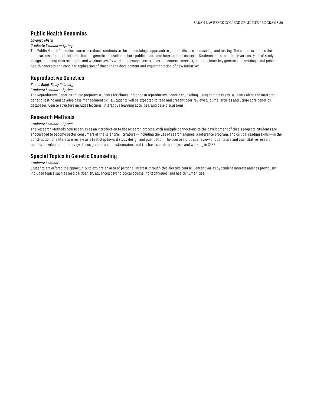# **Public Health Genomics**

#### *Lavanya Misra*

## *Graduate Seminar—Spring*

The Public Health Genomics course introduces students to the epidemiologic approach to genetic disease, counseling, and testing. The course examines the applications of genetic information and genetic counseling in both public health and international contexts. Students learn to identify various types of study design, including their strengths and weaknesses. By working through case studies and course exercises, students learn key genetic epidemiologic and public health concepts and consider application of those to the development and implementation of new initiatives.

## **Reproductive Genetics**

## *Komal Bajaj, Emily Goldberg*

## *Graduate Seminar—Spring*

The Reproductive Genetics course prepares students for clinical practice in reproductive genetic counseling. Using sample cases, students offer and interpret genetic testing and develop case management skills. Students will be expected to read and present peer-reviewed journal articles and utilize core genetics databases. Course structure includes lectures, interactive learning activities, and case discussions.

## **Research Methods**

#### *Graduate Seminar—Spring*

The Research Methods course serves as an introduction to the research process, with multiple connections to the development of thesis projects. Students are encouraged to become better consumers of the scientific literature—including the use of search engines, a reference program, and critical reading skills—in the construction of a literature review as a first step toward study design and publication. The course includes a review of qualitative and quantitative research models; development of surveys, focus groups, and questionnaires; and the basics of data analysis and working in SPSS.

# **Special Topics in Genetic Counseling**

#### *Graduate Seminar*

Students are offered the opportunity to explore an area of personal interest through this elective course. Content varies by student interest and has previously included topics such as medical Spanish, advanced psychological counseling techniques, and health humanities.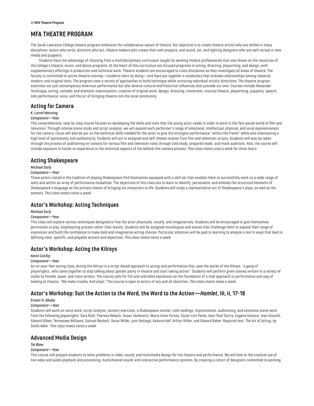# <span id="page-21-0"></span>**MFA THEATRE PROGRAM**

The Sarah Lawrence College theatre program embraces the collaborative nature of theatre. Our objective is to create theatre artists who are skilled in many disciplines: actors who write; directors who act; theatre makers who create their own projects; and sound, set, and lighting designers who are well-versed in new media and puppetry.

Students have the advantage of choosing from a multidisciplinary curriculum taught by working theatre professionals that also draws on the resources of the College's theatre, music, and dance programs. At the heart of this curriculum are focused programs in acting, directing, playwriting, and design, with supplementary offerings in production and technical work. Theatre students are encouraged to cross disciplines as they investigate all areas of theatre. The faculty is committed to active theatre training—students learn by doing—and have put together a vocabulary that stresses relationships among classical, modern, and original texts. The program uses a variety of approaches to build technique while nurturing individual artistic directions. The theatre program examines not just contemporary American performance but also diverse cultural and historical influences that precede our own. Courses include Alexander Technique, acting, comedic and dramatic improvisation, creation of original work, design, directing, movement, musical theatre, playwriting, puppetry, speech, solo performance, voice, and the art of bringing theatre into the local community.

# **Acting for Camera**

#### *K. Lorrel Manning*

#### *Component—Year*

This comprehensive, step-by-step course focuses on developing the skills and tools that the young actor needs in order to work in the fast-paced world of film and television. Through intense scene study and script analysis, we will expand each performer's range of emotional, intellectual, physical, and vocal expressiveness for the camera. Focus will also be put on the technical skills needed for the actor to give the strongest performance "within the frame" while also maintaining a high level of spontaneity and authenticity. Students will act in assigned and self-chosen scenes from film and television scripts. Students will also be taken through the process of auditioning on-camera for various film and television roles through cold reads, prepared reads, and mock auditions. Also, the course will include exposure to hands-on experience in the technical aspects of the behind-the-camera process. *This class meets once a week for three hours.*

## **Acting Shakespeare**

## *Michael Early*

#### *Component—Year*

Those actors rooted in the tradition of playing Shakespeare find themselves equipped with a skill set that enables them to successfully work on a wide range of texts and within an array of performance modalities. The objectives of this class are to learn to identify, personalize, and embody the structural elements of Shakespeare's language as the primary means of bringing his characters to life. Students will study a representative arc of Shakespeare's plays, as well as the sonnets. *This class meets twice a week.*

# **Actor's Workshop: Acting Techniques**

## *Michael Early*

## *Component—Year*

This class will explore various techniques designed to free the actor physically, vocally, and imaginatively. Students will be encouraged to give themselves permission to play, emphasizing process rather than results. Students will be assigned monologues and scenes that challenge them to expand their range of expression and build the confidence to make bold and imaginative acting choices. Particular attention will be paid to learning to analyze a text in ways that lead to defining clear, specific, and playable actions and objectives. *This class meets twice a week.*

# **Actor's Workshop: Acting the Kilroys**

#### *Kevin Confoy*

#### *Component—Year*

An on-your-feet acting class, Acting the Kilroys is a script-based approach to acting and performance that uses the works of the Kilroys, "a gang of playwrights…who came together to stop talking about gender parity in theatre and start taking action." Students will perform given scenes written in a variety of styles by female, queer, and trans writers. The course calls for full and unbridled expression as the foundation of a vital approach to performance and way of looking at theatre. "We make trouble. And plays." The course is open to actors of any and all identities. *This class meets twice a week.*

# **Actor's Workshop: Suit the Action to the Word, the Word to the Action—***Hamlet***, III, ii, 17-18**

## *Ernest H. Abuba*

## *Component—Year*

Students will work on voice work, script analysis, sensory exercises, a Shakespeare sonnet, cold readings, improvisation, auditioning, and extensive scene work from the following playwrights: Sara Ruhl, Theresa Rebeck, Susan Yankowitz, Maria Irene Fornes, Suzan-Lori Parks, Jean-Paul Sartre, Eugene Ionesco, Jean Anouilh, Edward Albee, Tennessee Williams, Samuel Beckett, Oscar Wilde, Lynn Nottage, Katoria Hall, Arthur Miller, and Edward Baker. Required text: *The Art of Acting*, by Stella Adler. *This class meets twice a week.*

# **Advanced Media Design**

## *Tei Blow*

## *Component—Year*

This course will prepare students to solve problems in video, sound, and multimedia design for live theatre and performance. We will look at the creative use of live video and audio playback and processing, multichannel sound, and interactive performance systems. By creating a cohort of designers committed to working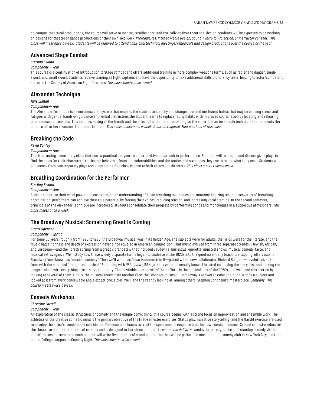on campus theatrical productions, the course will serve to mentor, troubleshoot, and critically analyze theatrical design. Students will be expected to be working on designs for theatre or dance productions or their own solo work. *Prerequisites: Intro to Media Design, Sound 1, Intro to Projection, or instructor consent. This class will meet once a week. Students will be required to attend additional technical meetings/rehearsals and design productions over the course of the year.*

## **Advanced Stage Combat**

## *Sterling Swann*

## *Component—Year*

This course is a continuation of Introduction to Stage Combat and offers additional training in more complex weapons forms, such as rapier and dagger, single sword, and small sword. Students receive training as fight captains and have the opportunity to take additional skills proficiency tests, leading to actor/combatant status in the Society of American Fight Directors. *This class meets once a week.*

## **Alexander Technique**

#### *June Ekman*

#### *Component—Year*

The Alexander Technique is a neuromuscular system that enables the student to identify and change poor and inefficient habits that may be causing stress and fatigue. With gentle, hands-on guidance and verbal instruction, the student learns to replace faulty habits with improved coordination by locating and releasing undue muscular tensions. This includes easing of the breath and the effect of coordinated breathing on the voice. It is an invaluable technique that connects the actor to his or her resources for dramatic intent. *This class meets once a week. Audition required. Four sections of this class.*

## **Breaking the Code**

#### *Kevin Confoy*

#### *Component—Year*

This is an acting scene study class that uses a practical, on-your-feet, script-driven approach to performance. Students will tear open and dissect given plays to find the clues for their characters' truths and behaviors, fears and vulnerabilities, and the tactics and strategies they use to to get what they need. Students will act scenes from contemporary plays and adaptations. The class is open to both actors and directors. *This class meets twice a week.*

# **Breathing Coordination for the Performer**

## *Sterling Swann*

#### *Component—Year*

Students improve their vocal power and ease through an understanding of basic breathing mechanics and anatomy. Utilizing recent discoveries of breathing coordination, performers can achieve their true potential by freeing their voices, reducing tension, and increasing vocal stamina. In the second semester, principals of the Alexander Technique are introduced; students consolidate their progress by performing songs and monologues in a supportive atmosphere. *This class meets once a week.*

## **The Broadway Musical: Something Great Is Coming**

#### *Stuart Spencer*

#### *Component—Spring*

For some 60 years, roughly from 1920 to 1980, the Broadway musical was in its Golden Age. The subjects were for adults, the lyrics were for the literate, and the music had a richness and depth of expression never since equaled in American composition. That music evolved from three separate strands—Jewish, African, and European—and the libretti sprung from a great vibrant stew that included vaudeville, burlesque, operetta, minstrel shows, musical comedy-farce, and musical extravaganza. We'll study how these widely disparate forms began to coalesce in the 1920s into the quintessentially brash, toe-tapping, effervescent Broadway form known as "musical comedy." Then we'll watch as Oscar Hammerstein II—paired with a new collaborator, Richard Rodgers—revolutionized the form with the so-called "integrated musical." Beginning with *Oklahoma!,* R&H (as they were universally known) insisted on putting the story first and making the songs—along with everything else—serve that story. The inevitable apotheosis of their efforts is the musical play of the 1950s, and we'll end this section by looking at several of them. Finally, the musical showed yet another face: the "concept musical"—Broadway's answer to cubist painting. It took a subject and looked at it from every conceivable angle except one: a plot. We'll end the year by looking at, among others, Stephen Sondheim's masterpiece, *Company*. *This course meets twice a week.*

# **Comedy Workshop**

## *Christine Farrell*

#### *Component—Year*

An exploration of the classic structures of comedy and the unique comic mind, this course begins with a strong focus on improvisation and ensemble work. The athletics of the creative comedic mind is the primary objective of the first-semester exercises. Status play, narrative storytelling, and the Harold exercise are used to develop the artist's freedom and confidence. The ensemble learns to trust the spontaneous response and their own comic madness. Second semester educates the theatre artist in the theories of comedy and is designed to introduce students to *commedia dell'arte*, vaudeville, parody, satire, and standup comedy. At the end of the second semester, each student will write five minutes of standup material that will be performed one night at a comedy club in New York City and then on the College campus on Comedy Night. *This class meets twice a week.*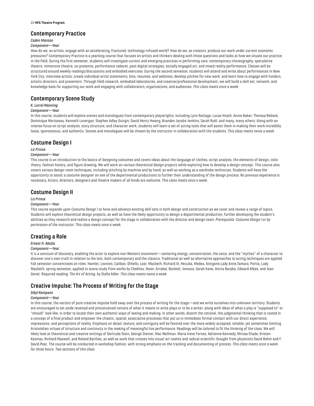# **Contemporary Practice**

## *Caden Manson*

## *Component—Year*

How do we, as artists, engage with an accelerating, fractured, technology-infused world? How do we, as creators, produce our work under current economic pressures? Contemporary Practice is a yearlong course that focuses on artists and thinkers dealing with those questions and looks at how we situate our practice in the field. During the first semester, students will investigate current and emerging practices in performing care, contemporary choreography, speculative theatre, immersive theatre, co-presence, performance cabaret, post-digital strategies, socially engaged art, and mixed reality performance. Classes will be structured around weekly readings/discussions and embodied exercises. During the second semester, students will attend and write about performances in New York City; interview artists; create individual artist statements, bios, resumes, and websites; develop pitches for new work; and learn how to engage with funders, artistic directors, and presenters. Through field research, embodied laboratories, and creative/professional development, we will build a skill set, network, and knowledge base for supporting our work and engaging with collaborators, organizations, and audiences. *This class meets once a week.*

# **Contemporary Scene Study**

## *K. Lorrel Manning*

#### *Component—Year*

In this course, students will explore scenes and monologues from contemporary playwrights, including Lynn Nottage, Lucas Hnath, Annie Baker, Theresa Rebeck, Dominique Morisseau, Kenneth Lonergan, Stephen Adley Guirgis, David Henry Hwang, Branden Jacobs-Jenkins, Sarah Ruhl, and many, many others. Along with an intense focus on script analysis, story structure, and character work, students will learn a set of acting tools that will assist them in making their work incredibly loose, spontaneous, and authentic. Scenes and monologues will be chosen by the instructor in collaboration with the students. *This class meets twice a week.*

# **Costume Design I**

#### *Liz Prince*

#### *Component—Year*

This course is an introduction to the basics of designing costumes and covers ideas about the language of clothes, script analysis, the elements of design, color theory, fashion history, and figure drawing. We will work on various theoretical design projects while exploring how to develop a design concept. This course also covers various design-room techniques, including stitching by machine and by hand, as well as working as a wardrobe technician. Students will have the opportunity to assist a costume designer on one of the departmental productions to further their understanding of the design process. No previous experience is necessary. Actors, directors, designers and theatre makers of all kinds are welcome. *This class meets once a week.*

# **Costume Design II**

#### *Liz Prince*

#### *Component—Year*

This course expands upon Costume Design l to hone and advance existing skill sets in both design and construction as we cover and review a range of topics. Students will explore theoretical design projects, as well as have the likely opportunity to design a departmental production, further developing the student's abilities as they research and realize a design concept for the stage in collaboration with the director and design team. *Prerequisite: Costume Design l or by permission of the instructor. This class meets once a week.*

# **Creating a Role**

## *Ernest H. Abuba*

#### *Component—Year*

It is a sanctum of discovery, enabling the actor to explore non-Western movement—centering energy, concentration, the voice, and the "mythos" of a character to discover one's own truth in relation to the text, both contemporary and the classics. Traditional as well as alternative approaches to acting techniques are applied. Fall semester concentrates on roles: Hamlet, Leontes, Caliban, Othello, Lear, Macbeth, Richard III, Hecuba, Medea, Antigone,Lady Anne,Tamara, Portia, Lady Macbeth; spring semester, applied to scene study from works by Chekhov, Ibsen, Arrabal, Beckett, Ionesco, Sarah Kane, Amira Baraka, Edward Albee, and Jean Genet. Required reading: *The Art of Acting*, by Stella Adler. *This class meets twice a week.*

# **Creative Impulse: The Process of Writing for the Stage**

## *Sibyl Kempson*

## *Component—Year*

In this course, the vectors of pure creative impulse hold sway over the process of writing for the stage—and we write ourselves into unknown territory. Students are encouraged to set aside received and preconceived notions of what it means to write plays or to be a writer, along with ideas of what a play is "supposed to" or "should" look like, in order to locate their own authentic ways of seeing and making. In other words, disarm the rational, the judgmental thinking that is rooted in a concept of a final product and empower the chaotic, spatial, associative processes that put us in immediate formal contact with our direct experience, impressions, and perceptions of reality. Emphasis on detail, texture, and contiguity will be favored over the more widely accepted, reliable, yet sometimes limiting Aristotelian virtues of structure and continuity in the making of meaningful live performance. Readings will be tailored to fit the thinking of the class. We will likely look at theoretical and creative writings of Gertrude Stein, George Steiner, Mac Wellman, Maria Irene Fornes, Adrienne Kennedy, Mircea Eliade, Kristen Kosmas, Richard Maxwell, and Roland Barthes, as well as work that crosses into visual-art realms and radical scientific thought from physicists David Bohm and F. David Peat. The course will be conducted in workshop fashion, with strong emphasis on the tracking and documenting of process. *This class meets once a week for three hours. Two sections of this class.*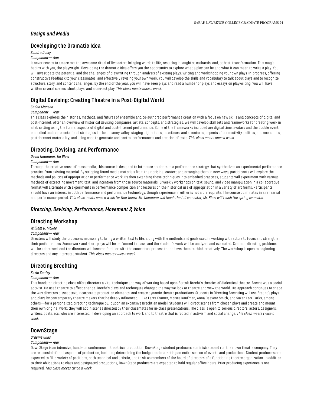# *Design and Media*

# **Developing the Dramatic Idea**

## *Sandra Daley*

#### *Component—Year*

It never ceases to amaze me: the awesome ritual of live actors bringing words to life, resulting in laughter, catharsis, and, at best, transformation. This magic begins with you, the playwright. Developing the dramatic Idea offers you the opportunity to explore what a play can be and what it can mean to write a play. You will investigate the potential and the challenges of playwriting through analysis of existing plays, writing and workshopping your own plays-in-progress, offering constructive feedback to your classmates, and effectively revising your own work. You will develop the skills and vocabulary to talk about plays and to recognize structure, story, and content challenges. By the end of the year, you will have seen plays and read a number of plays and essays on playwriting. You will have written several scenes, short plays, and a one-act play. *This class meets once a week.*

# **Digital Devising: Creating Theatre in a Post-Digital World**

#### *Caden Manson*

#### *Component—Year*

This class explores the histories, methods, and futures of ensemble and co-authored performance creation with a focus on new skills and concepts of digital and post-Internet. After an overview of historical devising companies, artists, concepts, and strategies, we will develop skill sets and frameworks for creating work in a lab setting using the formal aspects of digital and post-Internet performance. Some of the frameworks included are digital time; avatars and the double event; embodied and representational strategies in the uncanny valley; staging digital tools, interfaces, and structures; aspects of connectivity, politics, and economics; post-Internet materiality; and using code to generate and control performances and creation of texts. *This class meets once a week.*

# **Directing, Devising, and Performance**

#### *David Neumann, Tei Blow*

#### *Component—Year*

Through the creative reuse of mass media, this course is designed to introduce students to a performance strategy that synthesizes an experimental performance practice from existing material. By stripping found media materials from their original context and arranging them in new ways, participants will explore the methods and politics of appropriation in performance work. By then extending those techniques into embodied practices, students will experiment with various methods of extracting movement, text, and intention from those source materials. Biweekly workshops on text, sound, and video manipulation in a collaborative format will alternate with experiments in performance composition and lectures on the historical use of appropriation in a variety of art forms. Participants should have an interest in both performance and performance technology, though experience in either is not a prerequisite. The course culminates in a rehearsal and performance period. *This class meets once a week for four hours. Mr. Neumann will teach the fall semester; Mr. Blow will teach the spring semester.*

## *Directing, Devising, Performance, Movement & Voice*

## **Directing Workshop**

#### *William D. McRee*

## *Component—Year*

Directors will study the processes necessary to bring a written text to life, along with the methods and goals used in working with actors to focus and strengthen their performances. Scene work and short plays will be performed in class, and the student's work will be analyzed and evaluated. Common directing problems will be addressed, and the directors will become familiar with the conceptual process that allows them to think creatively. The workshop is open to beginning directors and any interested student. *This class meets twice a week.*

# **Directing Brechting**

## *Kevin Confoy*

#### *Component—Year*

This hands-on directing class offers directors a vital technique and way of working based upon Bertolt Brecht's theories of dialectical theatre. Brecht was a social activist. He used theatre to affect change. Brecht's plays and techniques changed the way we look at theatre and view the world. His approach continues to shape the way directors dissect text, incorporate production elements, and create dynamic theatre productions. Students in Directing Brechting will use Brecht's plays and plays by contemporary theatre makers that he deeply influenced—like Larry Kramer, Moises Kaufman, Anna Deavere Smith, and Suzan Lori-Parks, among others—for a personalized directing technique built upon an expansive Brechtian model. Students will direct scenes from chosen plays and create and mount their own original work; they will act in scenes directed by their classmates for in-class presentations. The class is open to serious directors, actors, designers, writers, poets, etc. who are interested in developing an approach to work and to theatre that is rooted in activism and social change. *This class meets twice a week.*

# **DownStage**

## *Graeme Gillis*

#### *Component—Year*

DownStage is an intensive, hands-on conference in theatrical production. DownStage student producers administrate and run their own theatre company. They are responsible for all aspects of production, including determining the budget and marketing an entire season of events and productions. Student producers are expected to fill a variety of positions, both technical and artistic, and to sit as members of the board of directors of a functioning theatre organization. In addition to their obligations to class and designated productions, DownStage producers are expected to hold regular office hours. Prior producing experience is not required. *This class meets twice a week.*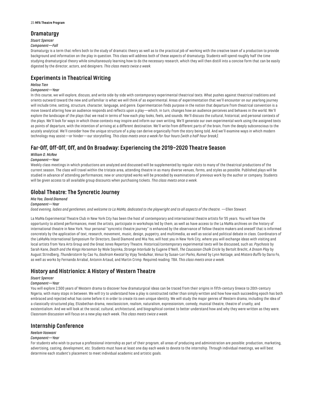# **Dramaturgy**

# *Stuart Spencer*

*Component—Fall*

Dramaturgy is a term that refers both to the study of dramatic theory as well as to the practical job of working with the creative team of a production to provide background and information on the play in question. This class will address both of these aspects of dramaturgy. Students will spend roughly half the time studying dramaturgical theory while simultaneously learning how to do the necessary research, which they will then distill into a concise form that can be easily digested by the director, actors, and designers. *This class meets twice a week.*

# **Experiments in Theatrical Writing**

## *Melisa Tien*

## *Component—Year*

In this course, we will explore, discuss, and write side-by-side with contemporary experimental theatrical texts. What pushes against theatrical traditions and orients outward toward the new and unfamiliar is what we will think of as experimental. Areas of experimentation that we'll encounter on our yearlong journey will include time, setting, structure, character, language, and genre. Experimentation finds purpose in the notion that departure from theatrical convention is a move toward altering how an audience responds and reflects upon a play—which, in turn, changes how an audience perceives and behaves in the world. We'll explore the landscape of the plays that we read in terms of how each play looks, feels, and sounds. We'll discuss the cultural, historical, and personal contexts of the plays. We'll look for ways in which those contexts may inspire and inform our own writing. We'll generate our own experimental work using the assigned texts as points of departure, with the intention of arriving at a different destination. We'll write from different parts of the brain, from the deeply subconscious to the acutely analytical. We'll consider how the unique structure of a play can derive organically from the story being told. And we'll examine ways in which modern technology may assist—or hinder—our storytelling. *This class meets once a week for four hours (with a half-hour break).*

# **Far-Off, Off-Off, Off, and On Broadway: Experiencing the 2019–2020 Theatre Season**

## *William D. McRee*

## *Component—Year*

Weekly class meetings in which productions are analyzed and discussed will be supplemented by regular visits to many of the theatrical productions of the current season. The class will travel within the tristate area, attending theatre in as many diverse venues, forms, and styles as possible. Published plays will be studied in advance of attending performances; new or unscripted works will be preceded by examinations of previous work by the author or company. Students will be given access to all available group discounts when purchasing tickets. *This class meets once a week.*

# **Global Theatre: The Syncretic Journey**

## *Mia Yoo, David Diamond*

#### *Component—Year*

*Good evening, ladies and gentlemen, and welcome to La MaMa, dedicated to the playwright and to all aspects of the theatre.* —Ellen Stewart

La MaMa Experimental Theatre Club in New York City has been the host of contemporary and international theatre artists for 55 years. You will have the opportunity to attend performances, meet the artists, participate in workshops led by them, as well as have access to the La MaMa archives on the history of international theatre in New York. Your personal "syncretic theatre journey" is enhanced by the observance of fellow theatre makers and oneself that is informed concretely by the application of text, research, movement, music, design, puppetry, and multimedia, as well as social and political debate in class. Coordinators of the LaMaMa International Symposium for Directors, David Diamond and Mia Yoo, will host you in New York City, where you will exchange ideas with visiting and local artists from Yara Arts Group and the Great Jones Repertory Theatre. Historical/contemporary experimental texts will be discussed, such as: *Psychosis* by Sarah Kane, *Death and the Kings Horseman* by Wole Soyinka, *Strange Interlude* by Eugene O'Neill, *The Caucasian Chalk Circle* by Bertolt Brecht, *A Dream Play* by August Strindberg, *Thunderstorm* by Cao Yu, *Goshram Kwotal* by Vijay Tendulkar, *Venus* by Susan-Lori Parks, *Ruined* by Lynn Nottage, and *Mistero Buffo* by Dario Fo, as well as works by Fernando Arrabal, Antonin Artaud, and Martin Crimp. Required reading: TBA. *This class meets once a week.*

# **History and Histrionics: A History of Western Theatre**

## *Stuart Spencer*

## *Component—Year*

You will explore 2,500 years of Western drama to discover how dramaturgical ideas can be traced from their origins in fifth-century Greece to 20th-century Nigeria, with many stops in between. We will try to understand how a play is constructed rather than simply written and how how each succeeding epoch has both embraced and rejected what has come before it in order to create its own unique identity. We will study the major genres of Western drama, including the idea of a classically structured play, Elizabethan drama, neoclassicism, realism, naturalism, expressionism, comedy, musical theatre, theatre of cruelty, and existentialism. And we will look at the social, cultural, architectural, and biographical context to better understand how and why they were written as they were. Classroom discussion will focus on a new play each week. *This class meets twice a week.*

# **Internship Conference**

## *Neelam Vaswani*

## *Component—Year*

For students who wish to pursue a professional internship as part of their program, all areas of producing and administration are possible: production, marketing, advertising, casting, development, etc. Students must have at least one day each week to devote to the internship. Through individual meetings, we will best determine each student's placement to meet individual academic and artistic goals.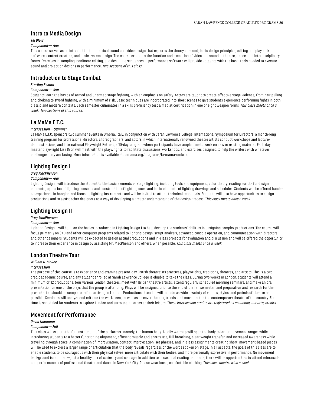## **Intro to Media Design**

## *Tei Blow*

## *Component—Year*

This course serves as an introduction to theatrical sound and video design that explores the theory of sound, basic design principles, editing and playback software, content creation, and basic system design. The course examines the function and execution of video and sound in theatre, dance, and interdisciplinary forms. Exercises in sampling, nonlinear editing, and designing sequences in performance software will provide students with the basic tools needed to execute sound and projection designs in performance. *Two sections of this class.*

## **Introduction to Stage Combat**

## *Sterling Swann*

#### *Component—Year*

Students learn the basics of armed and unarmed stage fighting, with an emphasis on safety. Actors are taught to create effective stage violence, from hair pulling and choking to sword fighting, with a minimum of risk. Basic techniques are incorporated into short scenes to give students experience performing fights in both classic and modern contexts. Each semester culminates in a skills proficiency test aimed at certification in one of eight weapon forms*. This class meets once a week. Two sections of this course.*

# **La MaMa E.T.C.**

#### *Intersession—Summer*

La MaMa E.T.C. sponsors two summer events in Umbria, Italy, in conjunction with Sarah Lawrence College: International Symposium for Directors, a month-long training program for professional directors, choreographers, and actors in which internationally renowned theatre artists conduct workshops and lecture/ demonstrations; and International Playwright Retreat, a 10-day program where participants have ample time to work on new or existing material. Each day, master playwright Lisa Kron will meet with the playwrights to facilitate discussions, workshops, and exercises designed to help the writers with whatever challenges they are facing. More information is available at: lamama.org/programs/la-mama-umbria.

# **Lighting Design I**

## *Greg MacPherson*

## *Component—Year*

Lighting Design I will introduce the student to the basic elements of stage lighting, including tools and equipment, color theory, reading scripts for design elements, operation of lighting consoles and construction of lighting cues, and basic elements of lighting drawings and schedules. Students will be offered handson experience in hanging and focusing lighting instruments and will be invited to attend technical rehearsals. Students will also have opportunities to design productions and to assist other designers as a way of developing a greater understanding of the design process. *This class meets once a week.*

## **Lighting Design II**

## *Greg MacPherson*

#### *Component—Year*

Lighting Design II will build on the basics introduced in Lighting Design I to help develop the students' abilities in designing complex productions. The course will focus primarily on CAD and other computer programs related to lighting design, script analysis, advanced console operation, and communication with directors and other designers. Students will be expected to design actual productions and in-class projects for evaluation and discussion and will be offered the opportunity to increase their experience in design by assisting Mr. MacPherson and others, when possible. *This class meets once a week.*

# **London Theatre Tour**

# *William D. McRee*

## *Intersession*

The purpose of this course is to experience and examine present-day British theatre: its practices, playwrights, traditions, theatres, and artists. This is a twocredit academic course, and any student enrolled at Sarah Lawrence College is eligible to take the class. During two weeks in London, students will attend a minimum of 12 productions, tour various London theatres, meet with British theatre artists, attend regularly scheduled morning seminars, and make an oral presentation on one of the plays that the group is attending. Plays will be assigned prior to the end of the fall semester, and preparation and research for the presentation should be complete before arriving in London. Productions attended will include as wide a variety of venues, styles, and periods of theatre as possible. Seminars will analyze and critique the work seen, as well as discover themes, trends, and movement in the contemporary theatre of the country. Free time is scheduled for students to explore London and surrounding areas at their leisure*. These intersession credits are registered as academic, not arts, credits.*

# **Movement for Performance**

#### *David Neumann*

## *Component—Fall*

This class will explore the full instrument of the performer; namely, the human body. A daily warmup will open the body to larger movement ranges while introducing students to a better functioning alignment, efficient muscle and energy use, full breathing, clear weight transfer, and increased awareness while traveling through space. A combination of improvisation, contact improvisation, set phrases, and in-class assignments creating short, movement-based pieces will be used to explore a larger range of articulation that the body reveals regardless of the words spoken on stage. In all aspects, the goals of this class are to enable students to be courageous with their physical selves, more articulate with their bodies, and more personally expressive in performance. No movement background is required—just a healthy mix of curiosity and courage. In addition to occasional reading handouts, there will be opportunities to attend rehearsals and performances of professional theatre and dance in New York City. Please wear loose, comfortable clothing. *This class meets twice a week.*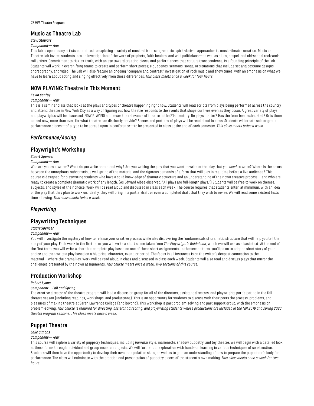## **Music as Theatre Lab**

## *Stew Stewart*

#### *Component—Year*

This lab is open to any artists committed to exploring a variety of music-driven, song-centric, spirit-derived approaches to music-theatre creation. Music as Theatre Lab invites students into an investigation of the work of prophets, faith healers, and wild politicians—as well as blues, gospel, and old-school rock-androll artists. Commitment to risk-as-truth, with an eye toward creating pieces and performances that conjure transcendence, is a founding principle of the Lab. Students will work in evershifting teams to create and perform short pieces; e.g., scenes, sermons, songs, or situations that include set and costume designs, choreography, and video. The Lab will also feature an ongoing "compare and contrast" investigation of rock music and show tunes, with an emphasis on what we have to learn about acting and singing effectively from those differences. *This class meets once a week for four hours.*

# **NOW PLAYING: Theatre in This Moment**

#### *Kevin Confoy*

#### *Component—Year*

This is a seminar class that looks at the plays and types of theatre happening right now. Students will read scripts from plays being performed across the country and attend theatre in New York City as a way of figuring out how theatre responds to the events that shape our lives even as they occur. A great variety of plays and playwrights will be discussed. NOW PLAYING addresses the relevance of theatre in the 21st century. Do plays matter? Has the form been exhausted? Or is there a need now, more than ever, for what theatre can distinctly provide? Scenes and portions of plays will be read aloud in class. Students will create solo or group performance pieces—of a type to be agreed upon in conference—to be presented in class at the end of each semester. *This class meets twice a week.*

# *Performance/Acting*

# **Playwright's Workshop**

## *Stuart Spencer*

#### *Component—Year*

Who are you as a writer? What do you write about, and why? Are you writing the play that you want to write or the play that you *need* to write? Where is the nexus between the amorphous, subconscious wellspring of the material and the rigorous demands of a form that will play in real time before a live audience? This course is designed for playwriting students who have a solid knowledge of dramatic structure and an understanding of their own creative process—and who are ready to create a complete dramatic work of any length. (As Edward Albee observed, "All plays are full-length plays.") Students will be free to work on themes, subjects, and styles of their choice. Work will be read aloud and discussed in class each week. The course requires that students enter, at minimum, with an idea of the play that they plan to work on; ideally, they will bring in a partial draft or even a completed draft that they wish to revise. We will read some existent texts, time allowing. *This class meets twice a week.*

# *Playwriting*

# **Playwriting Techniques**

## *Stuart Spencer*

#### *Component—Year*

You will investigate the mystery of how to release your creative process while also discovering the fundamentals of dramatic structure that will help you tell the story of your play. Each week in the first term, you will write a short scene taken from *The Playwright's Guidebook*, which we will use as a basic text. At the end of the first term, you will write a short but complete play based on one of these short assignments. In the second term, you'll go on to adapt a short story of your choice and then write a play based on a historical character, event, or period. The focus in all instances is on the writer's deepest connection to the material—where the drama lies. Work will be read aloud in class and discussed in class each week. Students will also read and discuss plays that mirror the challenges presented by their own assignments. *This course meets once a week. Two sections of this course.*

# **Production Workshop**

#### *Robert Lyons*

#### *Component—Fall and Spring*

The creative director of the theatre program will lead a discussion group for all of the directors, assistant directors, and playwrights participating in the fall theatre season (including readings, workshops, and productions). This is an opportunity for students to discuss with their peers the process, problems, and pleasures of making theatre at Sarah Lawrence College (and beyond). This workshop is part problem-solving and part support group, with the emphasis on problem-solving. *This course is required for directing, assistant directing, and playwriting students whose productions are included in the fall 2019 and spring 2020 theatre program seasons. This class meets once a week.*

# **Puppet Theatre**

#### *Lake Simons*

#### *Component—Year*

This course will explore a variety of puppetry techniques, including *bunraku* style, marionette, shadow puppetry, and toy theatre. We will begin with a detailed look at these forms through individual and group research projects. We will further our exploration with hands-on learning in various techniques of construction. Students will then have the opportunity to develop their own manipulation skills, as well as to gain an understanding of how to prepare the puppeteer's body for performance. The class will culminate with the creation and presentation of puppetry pieces of the student's own making. *This class meets once a week for two hours.*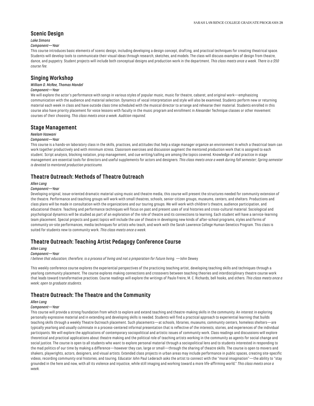## **Scenic Design**

#### *Lake Simons*

#### *Component—Year*

This course introduces basic elements of scenic design, including developing a design concept, drafting, and practical techniques for creating theatrical space. Students will develop tools to communicate their visual ideas through research, sketches, and models. The class will discuss examples of design from theatre, dance, and puppetry. Student projects will include both conceptual designs and production work in the department. *This class meets once a week. There is a \$50 course fee.*

# **Singing Workshop**

## *William D. McRee, Thomas Mandel*

## *Component—Year*

We will explore the actor's performance with songs in various styles of popular music, music for theatre, cabaret, and original work—emphasizing communication with the audience and material selection. Dynamics of vocal interpretation and style will also be examined. Students perform new or returning material each week in class and have outside class time scheduled with the musical director to arrange and rehearse their material. Students enrolled in this course also have priority placement for voice lessons with faculty in the music program and enrollment in Alexander Technique classes or other movement courses of their choosing. *This class meets once a week. Audition required.*

## **Stage Management**

## *Neelam Vaswani*

#### *Component—Year*

This course is a hands-on laboratory class in the skills, practices, and attitudes that help a stage manager organize an environment in which a theatrical team can work together productively and with minimum stress. Classroom exercises and discussion augment the mentored production work that is assigned to each student. Script analysis, blocking notation, prop management, and cue writing/calling are among the topics covered. Knowledge of and practice in stage management are essential tools for directors and useful supplements for actors and designers. *This class meets once a week during fall semester; Spring semester is devoted to mentored production practicums.*

# **Theatre Outreach: Methods of Theatre Outreach**

#### *Allen Lang*

#### *Component—Year*

Developing original, issue-oriented dramatic material using music and theatre media, this course will present the structures needed for community extension of the theatre. Performance and teaching groups will work with small theatres, schools, senior-citizen groups, museums, centers, and shelters. Productions and class plans will be made in consultation with the organizations and our touring groups. We will work with children's theatre, audience participation, and educational theatre. Teaching and performance techniques will focus on past and present uses of oral histories and cross-cultural material. Sociological and psychological dynamics will be studied as part of an exploration of the role of theatre and its connections to learning. Each student will have a service-learning team placement. Special projects and guest topics will include the use of theatre in developing new kinds of after-school programs, styles and forms of community on-site performances, media techniques for artists who teach, and work with the Sarah Lawrence College Human Genetics Program. This class is suited for students new to community work. *This class meets once a week.*

## **Theatre Outreach: Teaching Artist Pedagogy Conference Course**

#### *Allen Lang*

#### *Component—Year*

*I believe that education, therefore, is a process of living and not a preparation for future living.* —John Dewey

This weekly conference course explores the experiential perspectives of the practicing teaching artist, developing teaching skills and techniques through a yearlong community placement. The course explores making connections and crossovers between teaching theories and interdisciplinary theatre course work that leads toward transformative practices. Course readings will explore the writings of Paulo Freire, M. C. Richards, bell hooks, and others. *This class meets once a week; open to graduate students.*

# **Theatre Outreach: The Theatre and the Community**

## *Allen Lang*

## *Component—Year*

This course will provide a strong foundation from which to explore and extend teaching and theatre-making skills in the community. An interest in exploring personally expressive material and in extending and developing skills is needed. Students will find a practical approach to experiential learning that builds teaching skills through a weekly Theatre Outreach placement. Such placements—at schools, libraries, museums, community centers, homeless shelters—are typically yearlong and usually culminate in a process-centered informal presentation that is reflective of the interests, stories, and experiences of the individual participants. We will explore the applications of contemporary sociopolitical and artistic issues of community work. Class readings and discussions will explore theoretical and practical applications about theatre making and the political role of teaching artists working in the community as agents for social change and social justice. The course is open to all students who want to explore personal material through a sociopolitical lens and to students interested in responding to the mad politics of our time by making a difference—however they can, large or small—through the sharing of theatre skills. The course is open to movers and shakers, playwrights, actors, designers, and visual artists. Extended class projects in urban areas may include performance in public spaces, creating site-specific videos, recording community oral histories, and touring. Educator John Paul Lederach asks the artist to connect with the "moral imagination"—the ability to "stay grounded in the here and now, with all its violence and injustice, while still imaging and working toward a more life-affirming world." *This class meets once a week.*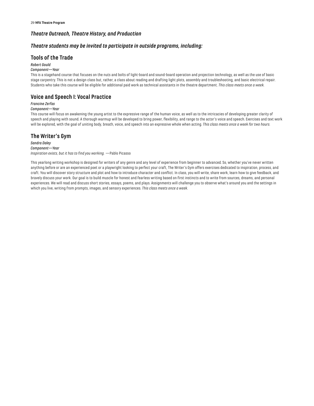# *Theatre Outreach, Theatre History, and Production*

# *Theatre students may be invited to participate in outside programs, including:*

# **Tools of the Trade**

## *Robert Gould*

## *Component—Year*

This is a stagehand course that focuses on the nuts and bolts of light-board and sound-board operation and projection technology, as well as the use of basic stage carpentry. This is not a design class but, rather, a class about reading and drafting light plots, assembly and troubleshooting, and basic electrical repair. Students who take this course will be eligible for additional paid work as technical assistants in the theatre department. *This class meets once a week.*

# **Voice and Speech I: Vocal Practice**

## *Francine Zerfas*

## *Component—Year*

This course will focus on awakening the young artist to the expressive range of the human voice, as well as to the intricacies of developing greater clarity of speech and playing with sound. A thorough warmup will be developed to bring power, flexibility, and range to the actor's voice and speech. Exercises and text work will be explored, with the goal of uniting body, breath, voice, and speech into an expressive whole when acting*. This class meets once a week for two hours.*

## **The Writer's Gym**

*Sandra Daley Component—Year Inspiration exists, but it has to find you working.* —Pablo Picasso

This yearlong writing workshop is designed for writers of any genre and any level of experience from beginner to advanced. So, whether you've never written anything before or are an experienced poet or a playwright looking to perfect your craft, The Writer's Gym offers exercises dedicated to inspiration, process, and craft. You will discover story structure and plot and how to introduce character and conflict. In class, you will write, share work, learn how to give feedback, and bravely discuss your work. Our goal is to build muscle for honest and fearless writing based on first instincts and to write from sources, dreams, and personal experiences. We will read and discuss short stories, essays, poems, and plays. Assignments will challenge you to observe what's around you and the settings in which you live, writing from prompts, images, and sensory experiences. *This class meets once a week.*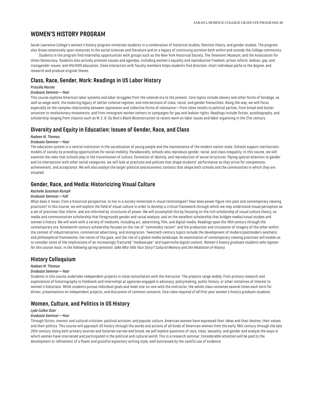# <span id="page-30-0"></span>**WOMEN'S HISTORY PROGRAM**

Sarah Lawrence College's women's history program immerses students in a combination of historical studies, feminist theory, and gender studies. The program also draws extensively upon resources in the social sciences and literature and on a legacy of continuing activism both within and outside the College community.

Students in the program find internship opportunities with groups such as the New York Historical Society, The Tenement Museum, and the Association for Union Democracy. Students also actively promote causes and agendas, including women's equality and reproductive freedom; prison reform; lesbian, gay, and transgender issues; and HIV/AIDS education. Close interaction with faculty members helps students find direction, chart individual paths to the degree, and research and produce original theses.

# **Class, Race, Gender, Work: Readings in US Labor History**

## *Priscilla Murolo*

## *Graduate Seminar—Year*

This course explores American labor systems and labor struggles from the colonial era to the present. Core topics include slavery and other forms of bondage, as well as wage work, the enduring legacy of settler-colonial regimes, and intersections of class, racial, and gender hierarchies. Along the way, we will focus especially on the complex relationship between oppression and collective forms of resistance—from slave revolts to political parties, from bread-and-butter unionism to revolutionary movements, and from immigrant worker centers to campaigns for gay and lesbian rights. Readings include fiction, autobiography, and scholarship ranging from classics such as W. E. B. Du Bois's *Black Reconstruction* to recent work on labor issues and labor organizing in the 21st century.

## **Diversity and Equity in Education: Issues of Gender, Race, and Class**

#### *Nadeen M. Thomas*

#### *Graduate Seminar—Year*

The education system is a central institution in the socialization of young people and the maintenance of the modern nation-state. Schools support meritocratic models of society by providing opportunities for social mobility. Paradoxically, schools also reproduce gender, racial, and class inequality. In this course, we will examine the roles that schools play in the transmission of culture, formation of identity, and reproduction of social structures. Paying special attention to gender and its intersection with other social categories, we will look at practices and policies that shape students' performance as they strive for competence, achievement, and acceptance. We will also analyze the larger political and economic contexts that shape both schools and the communities in which they are situated.

# **Gender, Race, and Media: Historicizing Visual Culture**

## *Rachelle Sussman Rumph*

#### *Graduate Seminar—Fall*

What does it mean, from a historical perspective, to live in a society immersed in visual technologies? How does power figure into past and contemporary viewing practices? In this course, we will explore the field of visual culture in order to develop a critical framework through which we may understand visual perception as a set of practices that inform, and are informed by, structures of power. We will accomplish this by focusing on the rich scholarship of visual culture theory, on media and communication scholarship that foregrounds gender and racial analysis, and on the excellent scholarship that bridges media/visual studies and women's history. We will work with a variety of mediums, including art, advertising, film, and digital media. Readings span the 19th century through the contemporary era. Nineteenth-century scholarship focuses on the rise of "commodity racism" and the production and circulation of imagery of the other within the context of industrialization, commercial advertising, and immigration. Twentieth-century topics include the development of modern/postmodern aesthetic and philosophical frameworks, the notion of the gaze, and the rise of a global media landscape. An examination of contemporary viewing practices will enable us to consider some of the implications of an increasingly fractured "mediascape" and hyperniche digital content.*Women's history graduate students who register for this course must, in the following spring semester, take Who Tells Your Story? Cultural Memory and the Mediation of History.*

## **History Colloquium**

## *Nadeen M. Thomas*

#### *Graduate Seminar—Year*

Students in this course undertake independent projects in close consultation with the instructor. The projects range widely, from primary research and explorations of historiography to fieldwork and internships at agencies engaged in advocacy, policymaking, public history, or other initiatives of interest to women's historians. While students pursue individual goals and meet one-on-one with the instructor, the whole class convenes several times each term for dinner, presentations on independent projects, and discussion of common concerns. *Core class required of all first-year women's history graduate students.*

# **Women, Culture, and Politics in US History**

#### *Lyde Cullen Sizer*

#### *Graduate Seminar—Year*

Through fiction, memoir and cultural criticism, political activism, and popular culture, American women have expressed their ideas and their desires, their values and their politics. This course will approach US history through the words and actions of all kinds of American women from the early 19th century through the late 20th century. Using both primary sources and histories narrow and broad, we will explore questions of race, class, sexuality, and gender and analyze the ways in which women have intervened and participated in the political and cultural world. This is a research seminar. Considerable attention will be paid to the development or refinement of a fluent and graceful expository writing style, well buttressed by the careful use of evidence.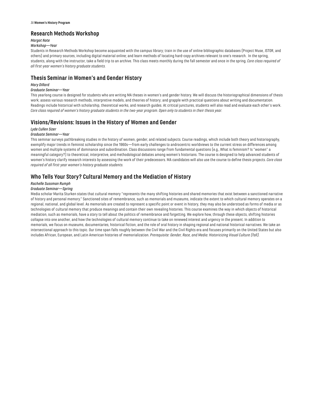# **Research Methods Workshop**

## *Margot Note*

## *Workshop—Year*

Students in Research Methods Workshop become acquainted with the campus library; train in the use of online bibliographic databases (Project Muse, JSTOR, and others) and primary sources, including digital material online; and learn methods of locating hard-copy archives relevant to one's research. In the spring, students, along with the instructor, take a field trip to an archive. This class meets monthly during the fall semester and once in the spring. *Core class required of all first-year women's history graduate students.*

# **Thesis Seminar in Women's and Gender History**

## *Mary Dillard*

## *Graduate Seminar—Year*

This yearlong course is designed for students who are writing MA theses in women's and gender history. We will discuss the historiographical dimensions of thesis work; assess various research methods, interpretive models, and theories of history; and grapple with practical questions about writing and documentation. Readings include historical with scholarship, theoretical works, and research guides. At critical junctures, students will also read and evaluate each other's work. *Core class required of women's history graduate students in the two-year program. Open only to students in their thesis year.*

# **Visions/Revisions: Issues in the History of Women and Gender**

## *Lyde Cullen Sizer*

## *Graduate Seminar—Year*

This seminar surveys pathbreaking studies in the history of women, gender, and related subjects. Course readings, which include both theory and historiography, exemplify major trends in feminist scholarship since the 1960s—from early challenges to androcentric worldviews to the current stress on differences among women and multiple systems of dominance and subordination. Class discussions range from fundamental questions (e.g., What is feminism? Is "women" a meaningful category?) to theoretical, interpretive, and methodological debates among women's historians. The course is designed to help advanced students of women's history clarify research interests by assessing the work of their predecessors. MA candidates will also use the course to define thesis projects. *Core class required of all first-year women's history graduate students.*

# **Who Tells Your Story? Cultural Memory and the Mediation of History**

## *Rachelle Sussman Rumph*

## *Graduate Seminar—Spring*

Media scholar Marita Sturken states that cultural memory "represents the many shifting histories and shared memories that exist between a sanctioned narrative of history and personal memory." Sanctioned sites of remembrance, such as memorials and museums, indicate the extent to which cultural memory operates on a regional, national, and global level. As memorials are created to represent a specific point or event in history, they may also be understood as forms of media or as technologies of cultural memory that produce meanings and contain their own revealing histories. This course examines the way in which objects of historical mediation, such as memorials, have a story to tell about the politics of remembrance and forgetting. We explore how, through these objects, shifting histories collapse into one another, and how the technologies of cultural memory continue to take on renewed interest and urgency in the present. In addition to memorials, we focus on museums, documentaries, historical fiction, and the role of oral history in shaping regional and national historical narratives. We take an intersectional approach to this topic. Our time span falls roughly between the Civil War and the Civil Rights era and focuses primarily on the United States but also includes African, European, and Latin American histories of memorialization. *Prerequisite: Gender, Race, and Media: Historicizing Visual Culture (fall).*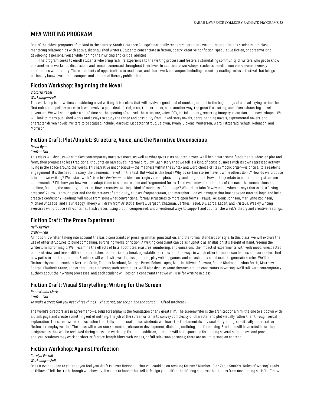# <span id="page-32-0"></span>**MFA WRITING PROGRAM**

One of the oldest programs of its kind in the country, Sarah Lawrence College's nationally recognized graduate writing program brings students into close mentoring relationships with active, distinguished writers. Students concentrate in fiction, poetry, creative nonfiction, speculative fiction, or screenwriting, developing a personal voice while honing their writing and critical abilities.

The program seeks to enroll students who bring rich life experience to the writing process and fosters a stimulating community of writers who get to know one another in workshop discussions and remain connected throughout their lives. In addition to workshops, students benefit from one-on-one biweekly conferences with faculty. There are plenty of opportunities to read, hear, and share work on campus, including a monthly reading series, a festival that brings nationally known writers to campus, and an annual literary publication.

## **Fiction Workshop: Beginning the Novel**

# *Victoria Redel*

## *Workshop—Fall*

This workshop is for writers considering novel writing. It is a class that will involve a good deal of mucking around in the beginnings of a novel, trying to find the first nub and hopefully more; so it will involve a good deal of trial, error, trial, error...or, seen another way, the great frustrating, and often exhausting, novel adventure. We will spend quite a bit of time on the opening of a novel, the structure, voice, POV, initial imagery, recurring imagery, recursion, and novel shapes. We will look to many published works and essays to study the range and possibility from linked-story novels, genre-bending novels, experimental novels, and character-driven novels. Writers to be studied include: Marquez, Lispector, Strout, Baldwin, Twain, Dickens, Winterson, Ward, Fitzgerald, Schutt, Robinson, and Morrison.

# **Fiction Craft: Plot/Unplot: Structure, Voice, and the Narrative Unconscious**

## *David Ryan*

## *Craft—Fall*

This class will discuss what makes contemporary narrative move, as well as what gives it its haunted power. We'll begin with some fundamental ideas on plot and form, then progress to less traditional thoughts on narrative's internal circuitry. Each story that we tell is a kind of consciousness with its own repressed activity living in the space around the words. This narrative unconscious—the madness within the syntax and word choice of its symbolic order—is critical to a reader's engagement. It's the heat in a story, the daemonic life within the text. But what is this heat? Why do certain stories have it while others don't? How do we produce it in our own writing? We'll start with Aristotle's *Poetics*—his ideas on tragic vs. epic plots, unity, and magnitude. How do they relate to contemporary structure and dynamics? I'll show you how we can adapt them to suit more open and fragmented forms. Then we'll move into theories of the narrative unconscious: the sublime, Duende, the uncanny, abjection. How is creative writing a kind of madness of language? What does John Dewey mean when he says that art is a "living creature"? How—through plot and the distortions of ambiguity, ellipsis, fragmentation, and metaphor—do we navigate that line between internal logic and lucid creative confusion? Readings will move from somewhat conventional formal structures to more open forms—Paula Fox, Denis Johnson, Marilynne Robinson, Michael Ondaatje, and Fleur Jaeggy. Theory will draw from Aristotle, Dewey, Bergson, Chatman, Barthes, Freud, Bly, Lorca, Lacan, and Kristeva. Weekly writing exercises will produce self-contained flash pieces, using plot in compressed, unconventional ways to support and counter the week's theory and creative readings.

## **Fiction Craft: The Prose Experiment**

## *Nelly Reifler*

#### *Craft—Fall*

All fiction is written taking into account the basic constraints of prose: grammar, punctuation, and the formal standards of style. In this class, we will explore the use of other structures to build compelling, surprising works of fiction. A writing constraint can be as hypnotic as an illusionist's sleight of hand, freeing the writer's mind for magic. We'll examine the effects of lists, footnotes, erasures, numbering, and omissions; the impact of experiments with verb mood, unexpected points of view, and tense; different approaches to intentionally breaking established rules; and the ways in which other formulae can help us and our readers find new paths to our imaginations. Students will work with writing assignments, play writing games, and occasionally collaborate to generate stories. We'll read fiction—by authors such as Gertrude Stein, Thomas Bernhard, Georges Perec, Robert Lopez, Maurice Kilwein Guevara, Renee Gladman, Joshua Ferris, Matthew Sharpe, Elizabeth Crane, and others—created using such techniques. We'll also discuss some theories around constraints in writing. We'll talk with contemporary authors about their writing processes, and each student will design a constraint that we will use for writing in class.

# **Fiction Craft: Visual Storytelling: Writing for the Screen**

#### *Rona Naomi Mark Craft—Fall To make a great film you need three things—the script, the script, and the script.* —Alfred Hitchcock

The world's directors are in agreement—a solid screenplay is the foundation of any great film. The screenwriter is the architect of a film, the one to sit down with a blank page and create something out of nothing. The job of the screenwriter is to convey complexity of character and plot visually rather than through verbal explanation. The screenwriter shows rather than tells. In this craft class, students will learn the fundamentals of visual storytelling, specifically for narrative fiction screenplay writing. The class will cover story structure, character development, dialogue, outlining, and formatting. Students will have outside writing assignments that will be reviewed during class in a workshop format. In addition, students will be responsible for reading several screenplays and providing analysis. Students may work on short or feature-length films, web-isodes, or full television episodes; there are no limitations on content.

## **Fiction Workshop: Against Perfection**

#### *Carolyn Ferrell*

#### *Workshop—Fall*

Does it ever happen to you that you feel your draft is never finished—that you could go on revising forever? Number 10 on Zadie Smith's "Rules of Writing" reads as follows: "Tell the truth through whichever veil comes to hand—but tell it. Resign yourself to the lifelong sadness that comes from never being satisfied." How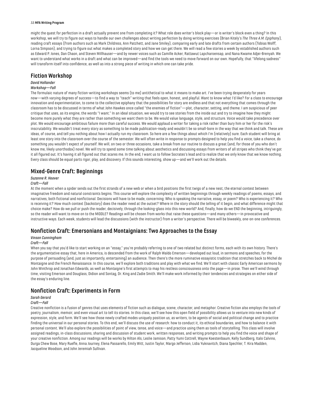#### 33 **MFA Writing Program**

might the quest for perfection in a draft actually prevent one from completing it? What role does writer's block play—or is writer's block even a thing? In this workshop, we will try to figure out ways to handle our own challenges about writing perfection by doing writing exercises (Brian Kitely's *The Three A.M. Epiphany*), reading craft essays (from authors such as Mark Childress, Ann Patchett, and Jane Smiley), comparing early and late drafts from certain authors (Tobias Wolff, Lorna Simpson), and trying to figure out what makes a completed story and how we can get there. We will read a few stories a week by established authors such as Edward P. Jones, Dan Chaon, and Steven Millhauser—and by newer voices such as Camille Acker, Rattawut Lapcharoensap, and Nana Kwame Adjei-Brenyah. We want to understand what works in a draft and what can be improved—and find the tools we need to move forward on our own. Hopefully, that "lifelong sadness" will transform itself into confidence, as well as into a strong piece of writing in which one can take pride.

## **Fiction Workshop**

#### *David Hollander*

#### *Workshop—Fall*

The formulaic nature of many fiction-writing workshops seems (to me) antithetical to what it means to make art. I've been trying desperately for years now—with varying degrees of success—to find a way to "teach" writing that feels open, honest, and playful. Want to know what I'd like? For a class to encourage innovation and experimentation, to come to the collective epiphany that the possibilities for story are endless and that not everything that comes through the classroom has to be discussed in terms of what John Hawkes once called "the enemies of fiction"—plot, character, setting, and theme. I am suspicious of peer critique that uses, as its engine, the words "I want." In an ideal situation, we would try to see stories from the inside out and try to imagine how they might become more purely what they are rather than something we want them to be. We would value language, style, and structure. Voice would take precedence over plot. We would encourage ambitious failure more than careful success. We would applaud a writer for taking a risk rather than bury him or her for the risk's inscrutability. We wouldn't treat every story as something to be made publication-ready and wouldn't be so small-bore in the way that we think and talk. These are ideas, of course, and tell you nothing about how I actually run my classroom. So here are a few things about which I'm (relatively) sure. Each student will bring at least one story into the classroom over the course of the semester. We will often write in response to prompts designed to help you find a voice, take a chance, do something you wouldn't expect of yourself. We will, on two or three occasions, take a break from our routine to discuss a great (and, for those of you who don't know me, likely unorthodox) novel. We will try to spend some time talking about aesthetics and discussing essays from writers of all stripes who think they've got it all figured out. It's having it all figured out that scares me. In the end, I want us to follow Socrates's lead and to realize that we only know that we know nothing. Every class should be equal parts rigor, play, and discovery. If this sounds interesting, show up—and we'll work out the details.

## **Mixed-Genre Craft: Beginnings**

## *Suzanne R. Hoover*

## *Craft—Fall*

At the moment when a spider sends out the first strands of a new web or when a bird positions the first twigs of a new nest, the eternal contest between imaginative freedom and natural constraints begins. This course will explore the complexity of written beginnings through weekly readings of poems, essays, and narratives, both fictional and nonfictional. Decisions will have to be made, concerning: Who is speaking the narrative, essay, or poem? Who is experiencing it? Who is receiving it? How much context (backstory) does the reader need at the outset? Where in the story should the telling of it begin, and what difference might that choice make? How do we pull or push the reader, decisively, through the looking-glass into this new world? And, finally, how do we END the beginning, intriguingly, so the reader will want to move on to the MIDDLE? Readings will be chosen from works that raise these questions—and many others—in provocative and instructive ways. Each week, students will lead the discussions (with the instructor) from a writer's perspective. There will be biweekly, one-on-one conferences.

# **Nonfiction Craft: Emersonians and Montaignians: Two Approaches to the Essay**

#### *Vinson Cunningham*

## *Craft—Fall*

When you say that you'd like to start working on an "essay," you're probably referring to one of two related but distinct forms, each with its own history. There's the argumentative essay that, here in America, is descended from the work of Ralph Waldo Emerson—developed out loud, in sermons and speeches, for the purpose of persuading (and, just as importantly, entertaining) an audience. Then there's the more ruminative essayistic tradition that stretches back to Michel de Montaigne and the French Renaissance. In this course, we'll explore both traditions and play with what we find. We'll start with classic Early American sermons by John Winthrop and Jonathan Edwards, as well as Montaigne's first attempts to map his restless consciousness onto the page—in prose. Then we'll wind through time, visiting Emerson and Douglass, Didion and Sontag, Dr. King and Zadie Smith. We'll make work informed by their tendencies and strategies on either side of the essay's enduring line.

# **Nonfiction Craft: Experiments in Form**

## *Sarah Gerard*

#### *Craft—Fall*

Creative nonfiction is a fusion of genres that uses elements of fiction such as dialogue, scene, character, and metaphor. Creative fiction also employs the tools of poetry, journalism, memoir, and even visual art to tell its stories. In this class, we'll see how this open field of possibility allows us to venture into new kinds of expression, style, and form. We'll see how those newly crafted modes uniquely position us, as writers, to be agents of social and political change and to practice finding the universal in our personal stories. To this end, we'll discuss the use of research: how to conduct it, its ethical boundaries, and how to balance it with personal content. We'll also explore the possibilities of point of view, tense, and voice—and practice using them as tools of storytelling. This class will involve assigned readings, in-class discussions, sharing and discussion of student work, written responses, and writing prompts to help you find the voice and shape of your creative nonfiction. Among our readings will be works by Hilton Als, Leslie Jamison, Patty Yumi Cottrell, Wayne Koestenbaum, Kelly Sundberg, Italo Calvino, Durga Chew Bose, Mary Ruefle, Anna Journey, Elena Passarello, Emily Witt, Justin Taylor, Margo Jefferson, Lidia Yuknavitch, Diana Spechler, T. Kira Madden, Jacqueline Woodson, and John Jeremiah Sullivan.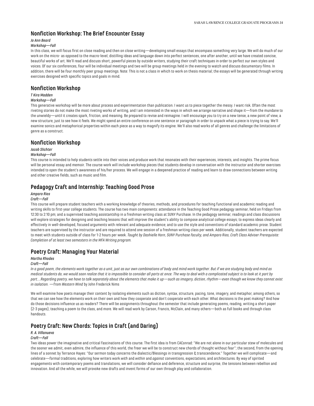# **Nonfiction Workshop: The Brief Encounter Essay**

## *Jo Ann Beard*

## *Workshop—Fall*

In this class, we will focus first on close reading and then on close writing—developing small essays that encompass something very large. We will do much of our work on the micro- as opposed to the macro-level, distilling ideas and language down into perfect sentences, one after another, until we have created concise, beautiful works of art. We'll read and discuss short, powerful pieces by outside writers, studying their craft techniques in order to perfect our own styles and voices. Of our six conferences, four will be individual meetings and two will be group meetings held in the evening to watch and discuss documentary films. In addition, there will be four monthly peer group meetings. Note: This is not a class in which to work on thesis material; the essays will be generated through writing exercises designed with specific topics and goals in mind.

# **Nonfiction Workshop**

## *T Kira Madden*

#### *Workshop—Fall*

This generative workshop will be more about process and experimentation than publication. I want us to piece together the messy. I want risk. Often the most riveting stories do not make the most riveting works of writing, and I am interested in the ways in which we arrange narrative and shape it—from the mundane to the unwieldy—until it creates spark, friction, and meaning. Be prepared to revise and reimagine. I will encourage you to try on a new tense, a new point of view, a new structure, just to see how it feels. We might spend an entire conference on one sentence or paragraph in order to unpack what a piece is trying to say. We'll examine sonics and metaphorical properties within each piece as a way to magnify its engine. We'll also read works of all genres and challenge the limitations of genre as a construct.

## **Nonfiction Workshop**

## *Jacob Slichter*

#### *Workshop—Fall*

This course is intended to help students settle into their voices and produce work that resonates with their experiences, interests, and insights. The prime focus will be personal essay and memoir. The course work will include workshop pieces that students develop in conversation with the instructor and shorter exercises intended to open the student's awareness of his/her process. We will engage in a deepened practice of reading and learn to draw connections between writing and other creative fields, such as music and film.

# **Pedagogy Craft and Internship: Teaching Good Prose**

## *Amparo Rios*

## *Craft—Fall*

This course will prepare student teachers with a working knowledge of theories, methods, and procedures for teaching functional and academic reading and writing skills to first-year college students. The course has two main components: attendance in the Teaching Good Prose pedagogy seminar, held on Fridays from 12:30 to 2:10 pm; and a supervised teaching assistantship in a freshman writing class at SUNY Purchase. In the pedagogy seminar, readings and class discussions will explore strategies for designing and teaching lessons that will improve the student's ability to compose analytical college essays; to express ideas clearly and effectively in well-developed, focused arguments with relevant and adequate evidence; and to use the style and conventions of standard academic prose. Student teachers are supervised by the instructor and are required to attend one session of a freshman writing class per week. Additionally, student teachers are expected to meet with students outside of class for 1-2 hours per week. *Taught by Dashielle Horn, SUNY Purchase faculty, and Amparo Rios, Craft Class Adviser Prerequisite: Completion of at least two semesters in the MFA Writing program.*

# **Poetry Craft: Managing Your Material**

## *Martha Rhodes*

## *Craft—Fall*

*In a good poem, the elements work together as a unit, just as our own combinations of body and mind work together. But if we are studying body and mind as medical students do, we would soon realize that it is impossible to consider all parts at once. The way to deal with a complicated subject is to look at it part by part….Regarding poetry, we have to talk separately about the elements that make it up—such as imagery, diction, rhythm—even though we know they cannot exist in isolation.* —from *Western Wind* by John Frederick Nims

We will examine how poets manage their content by isolating elements such as diction, syntax, structure, pacing, tone, imagery, and metaphor, among others, so that we can see how the elements work on their own and how they cooperate and don't cooperate with each other. What decisions is the poet making? And how do those decisions influence us as readers? There will be assignments throughout the semester that include generating poems, reading, writing a short paper (2-3 pages), teaching a poem to the class, and more. We will read work by Carson, Francis, McClain, and many others—both as full books and through class handouts.

# **Poetry Craft: New Chords: Topics in Craft (and Daring)**

## *R. A. Villanueva*

## *Craft—Fall*

Two ideas power the imaginative and critical fascinations of this course. The first idea is from CAConrad: "We are not alone in our particular stew of molecules and the sooner we admit, even admire, the influence of this world, the freer we will be to construct new chords of thought without fear"; the second, from the opening lines of a sonnet by Terrance Hayes: "Our sermon today concerns the dialectic/Blessings in transgression & transcendence." Together we will complicate—and celebrate—formal traditions, exploring how writers work *with* and *within* and *against* conventions, expectations, and architectures. By way of spirited engagements with contemporary poems and translations, we will consider defiance and deference, structure and surprise, the tensions between rebellion and innovation. And all the while, we will provoke new drafts and invent forms of our own through play and collaboration.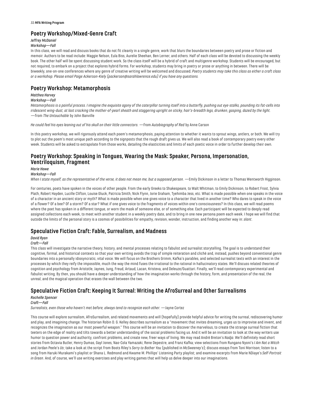#### 35 **MFA Writing Program**

# **Poetry Workshop/Mixed-Genre Craft**

# *Jeffrey McDaniel*

## *Workshop—Fall*

In this class, we will read and discuss books that do not fit cleanly in a single genre, work that blurs the boundaries between poetry and prose or fiction and memoir. Authors to be read include: Maggie Nelson, Eula Biss, Aurelie Sheehan, Ben Lerner, and others. Half of each class will be devoted to discussing the weekly book. The other half will be spent discussing student work. So the class itself will be a hybrid of craft and multigenre workshop. Students will be encouraged, but not required, to embark on a project that explores hybrid forms. For workshop, students may bring in poetry or prose or anything in between. There will be biweekly, one-on-one conferences where any genre of creative writing will be welcomed and discussed. *Poetry students may take this class as either a craft class or a workshop. Please email Paige Ackerson-Kiely (packerson@sarahlawrence.edu) if you have any questions.*

# **Poetry Workshop: Metamorphosis**

## *Matthea Harvey*

## *Workshop—Fall*

*Metamorphosis is a painful process. I imagine the exquisite agony of the caterpillar turning itself into a butterfly, pushing out eye-stalks, pounding its fat-cells into iridescent wing-dust, at last cracking the mother-of-pearl sheath and staggering upright on sticky, hair's-breadth legs, drunken, gasping, dazed by the light.* —from *The Untouchable* by John Banville

*He could feel his eyes leaning out of his skull on their little connectors.* —from *Autobiography of Red* by Anne Carson

In this poetry workshop, we will rigorously attend each poem's metamorphosis, paying attention to whether it wants to sprout wings, antlers, or both. We will try to plot out the poem's most unique path according to the signposts that the rough draft gives us. We will also read a book of contemporary poetry every other week. Students will be asked to extrapolate from those works, detailing the elasticities and limits of each poetic voice in order to further develop their own.

# **Poetry Workshop: Speaking in Tongues, Wearing the Mask: Speaker, Persona, Impersonation, Ventriloquism, Fragment**

# *Marie Howe*

## *Workshop—Fall*

*When I state myself, as the representative of the verse, it does not mean me, but a supposed person.* —Emily Dickinson in a letter to Thomas Wentworth Higginson.

For centuries, poets have spoken in the voices of other people. From the early Greeks to Shakespeare, to Walt Whitman, to Emily Dickinson, to Robert Frost, Sylvia Plath, Robert Hayden, Lucille Clifton, Louise Gluck, Patricia Smith, Nick Flynn, Jorie Graham, Tyehimba Jess, etc. What is made possible when one speaks in the voice of a character in an ancient story or myth? What is made possible when one gives voice to a character that lived in another time? Who dares to speak in the voice of a flower? Of a bee? Of a storm? Of a star? What if one gives voice to the fragments of voices within one's consciousness? In this class, we will read poems where the poet has spoken in a different tongue, or worn the mask of someone else, or of something else. Each participant will be expected to deeply read assigned collections each week, to meet with another student in a weekly poetry date, and to bring in one new persona poem each week. I hope we will find that outside the limits of the personal story is a cosmos of possibilities for empathy, revision, wonder, instruction, and finding another way in: *slant*.

# **Speculative Fiction Craft: Fable, Surrealism, and Madness**

## *David Ryan*

## *Craft—Fall*

This class will investigate the narrative theory, history, and mental processes relating to fabulist and surrealist storytelling. The goal is to understand their cognitive, formal, and historical contexts so that your own writing avoids the trap of simple reiteration and cliché and, instead, pushes beyond conventional genre boundaries into a personally idiosyncratic, vital voice. We will focus on the Brothers Grimm, Kafka's parables, and selected surrealist texts with an interest in the processes by which they reify the impossible, much the way the mind fuses the irrational to the rational in hallucinatory states. We'll discuss related theories of cognition and psychology from Aristotle, Jaynes, Jung, Freud, Artaud, Lacan, Kristeva, and Deleuze/Guattari. Finally, we'll read contemporary experimental and fabulist writing. By then, you should have a deeper understanding of how the imagination works through the history, form, and presentation of the real, the unreal, and the magical operation that erases the wall between the two.

# **Speculative Fiction Craft: Keeping It Surreal: Writing the AfroSurreal and Other Surrealisms**

*Rochelle Spencer*

#### *Craft—Fall*

*Surrealists, even those who haven't met before, always tend to recognize each other.* —Jayne Cortez

This course will explore surrealism, AfroSurrealism, and related movements and will (hopefully) provide helpful advice for writing the surreal, rediscovering humor and play, and imagining change. The historian Robin D. G. Kelley describes surrealism as a "movement that invites dreaming, urges us to improvise and invent, and recognizes the imagination as our most powerful weapon." This course will be an invitation to discover the marvelous, to create the strange surreal fiction that teeters on the edge of reality and tilts towards a better understanding of the social problems facing us. And it will be an invitation to look at the way writers use humor to question power and authority, confront problems, and create new, freer ways of living. We may read André Breton's *Nadja*. We'll definitely read short stories from Octavia Butler, Henry Dumas, Gayl Jones, Nao-Cola Yamazaki, Rene Depestre, and Franz Kafka; view selections from Rungano Nyoni's *I Am Not a Witch* and Jordan Peele's *Us*; take a look at the script from Boots Riley's *Sorry to Bother You* (published in *McSweeney's*); discuss essays from Toni Morrison; listen to a song from Haruki Murakami's playlist or Shana L. Redmond and Kwame M. Phillips' Listening Party playlist; and examine excerpts from Marie NDiaye's *Self-Portrait in Green*. And, of course, we'll use writing exercises and play writing games that will help us delve deeper into our imaginations.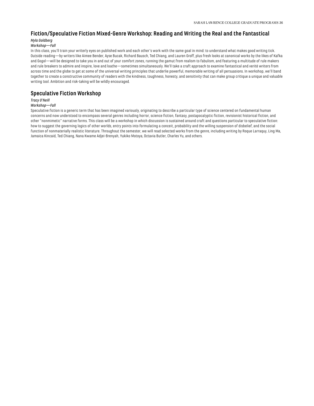# **Fiction/Speculative Fiction Mixed-Genre Workshop: Reading and Writing the Real and the Fantastical**

## *Myla Goldberg*

## *Workshop—Fall*

In this class, you'll train your writerly eyes on published work and each other's work with the same goal in mind: to understand what makes good writing tick. Outside reading—by writers like Aimee Bender, Ayse Bucak, Richard Bausch, Ted Chiang, and Lauren Groff, plus fresh looks at canonical works by the likes of Kafka and Gogol—will be designed to take you in and out of your comfort zones, running the gamut from realism to fabulism, and featuring a multitude of rule makers and rule breakers to admire and inspire, love and loathe—sometimes simultaneously. We'll take a craft approach to examine fantastical and verité writers from across time and the globe to get at some of the universal writing principles that underlie powerful, memorable writing of all persuasions. In workshop, we'll band together to create a constructive community of readers with the kindness, toughness, honesty, and sensitivity that can make group critique a unique and valuable writing tool. Ambition and risk-taking will be wildly encouraged.

# **Speculative Fiction Workshop**

## *Tracy O'Neill*

## *Workshop—Fall*

Speculative fiction is a generic term that has been imagined variously, originating to describe a particular type of science centered on fundamental human concerns and now understood to encompass several genres including horror, science fiction, fantasy, postapocalyptic fiction, revisionist historical fiction, and other "nonmimetic" narrative forms. This class will be a workshop in which discussion is sustained around craft and questions particular to speculative fiction: how to suggest the governing logics of other worlds, entry points into formulating a conceit, probability and the willing suspension of disbelief, and the social function of nonmaterially realistic literature. Throughout the semester, we will read selected works from the genre, including writing by Roque Larraquy, Ling Ma, Jamaica Kincaid, Ted Chiang, Nana Kwame Adjei-Brenyah, Yukiko Motoya, Octavia Butler, Charles Yu, and others.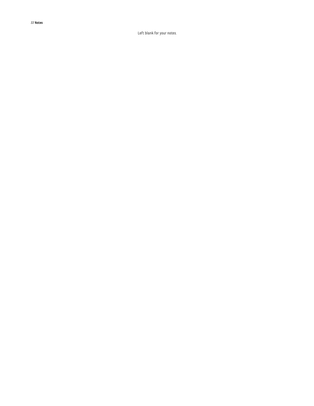37 **Notes**

Left blank for your notes.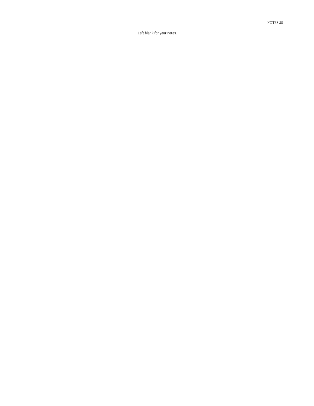NOTE S 3 8

Left blank for your notes.